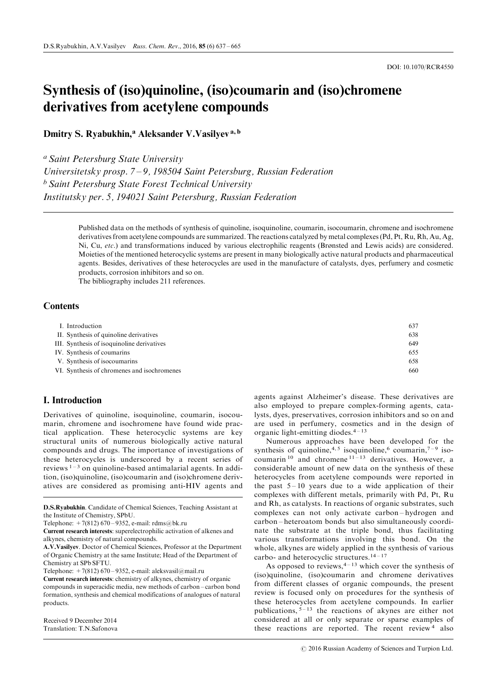# Synthesis of (iso)quinoline, (iso)coumarin and (iso)chromene derivatives from acetylene compounds

Dmitry S. Ryabukhin,<sup>a</sup> Aleksander V. Vasilyev<sup>a, b</sup>

<sup>a</sup> Saint Petersburg State University

Universitetsky prosp.  $7-9$ , 198504 Saint Petersburg, Russian Federation <sup>b</sup> Saint Petersburg State Forest Technical University Institutsky per. 5, 194021 Saint Petersburg, Russian Federation

> Published data on the methods of synthesis of quinoline, isoquinoline, coumarin, isocoumarin, chromene and isochromene derivatives from acetylene compounds are summarized. The reactions catalyzed by metal complexes (Pd, Pt, Ru, Rh, Au, Ag, Ni, Cu, etc.) and transformations induced by various electrophilic reagents (Brønsted and Lewis acids) are considered. Moieties of the mentioned heterocyclic systems are present in many biologically active natural products and pharmaceutical agents. Besides, derivatives of these heterocycles are used in the manufacture of catalysts, dyes, perfumery and cosmetic products, corrosion inhibitors and so on.

The bibliography includes 211 references.

# **Contents**

| I. Introduction                             | 637 |
|---------------------------------------------|-----|
| II. Synthesis of quinoline derivatives      | 638 |
| III. Synthesis of isoquinoline derivatives  | 649 |
| IV. Synthesis of coumarins                  | 655 |
| V. Synthesis of isocoumarins                | 658 |
| VI. Synthesis of chromenes and isochromenes | 660 |
|                                             |     |

# I. Introduction

Derivatives of quinoline, isoquinoline, coumarin, isocoumarin, chromene and isochromene have found wide practical application. These heterocyclic systems are key structural units of numerous biologically active natural compounds and drugs. The importance of investigations of these heterocycles is underscored by a recent series of reviews  $1-3$  on quinoline-based antimalarial agents. In addition, (iso)quinoline, (iso)coumarin and (iso)chromene derivatives are considered as promising anti-HIV agents and

Current research interests: chemistry of alkynes, chemistry of organic compounds in superacidic media, new methods of carbon-carbon bond formation, synthesis and chemical modifications of analogues of natural products.

Received 9 December 2014 Translation: T.N.Safonova agents against Alzheimer's disease. These derivatives are also employed to prepare complex-forming agents, catalysts, dyes, preservatives, corrosion inhibitors and so on and are used in perfumery, cosmetics and in the design of organic light-emitting diodes. $4-13$ 

Numerous approaches have been developed for the synthesis of quinoline,<sup>4, 5</sup> isoquinoline,<sup>6</sup> coumarin,<sup>7-9</sup> isocoumarin  $10$  and chromene  $11 - 13$  derivatives. However, a considerable amount of new data on the synthesis of these heterocycles from acetylene compounds were reported in the past  $5 - 10$  years due to a wide application of their complexes with different metals, primarily with Pd, Pt, Ru and Rh, as catalysts. In reactions of organic substrates, such complexes can not only activate carbon-hydrogen and carbon-heteroatom bonds but also simultaneously coordinate the substrate at the triple bond, thus facilitating various transformations involving this bond. On the whole, alkynes are widely applied in the synthesis of various carbo- and heterocyclic structures. $14 - 17$ 

As opposed to reviews,  $4-13$  which cover the synthesis of (iso)quinoline, (iso)coumarin and chromene derivatives from different classes of organic compounds, the present review is focused only on procedures for the synthesis of these heterocycles from acetylene compounds. In earlier publications,  $5-13$  the reactions of akynes are either not considered at all or only separate or sparse examples of these reactions are reported. The recent review  $4$  also

D.S.Ryabukhin. Candidate of Chemical Sciences, Teaching Assistant at the Institute of Chemistry, SPbU.

Telephone:  $+7(812)$  670 - 9352, e-mail: rdms@bk.ru

Current research interests: superelectrophilic activation of alkenes and alkynes, chemistry of natural compounds.

A.V.Vasilyev. Doctor of Chemical Sciences, Professor at the Department of Organic Chemistry at the same Institute; Head of the Department of Chemistry at SPb SFTU.

Telephone:  $+7(812)$  670 - 9352, e-mail: aleksvasil@mail.ru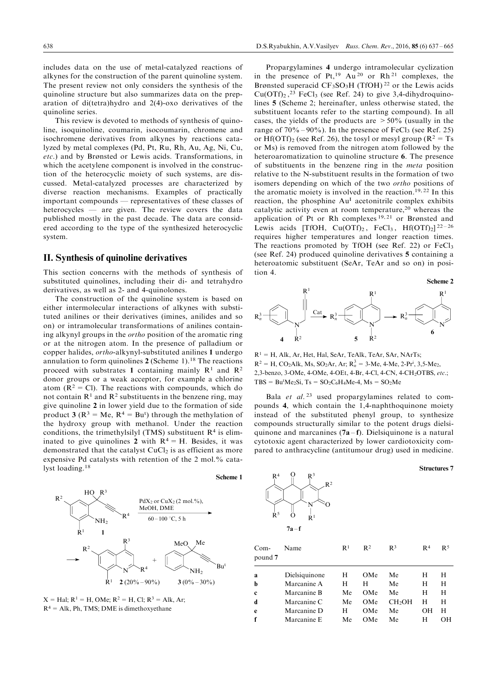<span id="page-1-0"></span>includes data on the use of metal-catalyzed reactions of alkynes for the construction of the parent quinoline system. The present review not only considers the synthesis of the quinoline structure but also summarizes data on the preparation of di(tetra)hydro and 2(4)-oxo derivatives of the quinoline series.

This review is devoted to methods of synthesis of quinoline, isoquinoline, coumarin, isocoumarin, chromene and isochromene derivatives from alkynes by reactions catalyzed by metal complexes (Pd, Pt, Ru, Rh, Au, Ag, Ni, Cu, etc.) and by Brønsted or Lewis acids. Transformations, in which the acetylene component is involved in the construction of the heterocyclic moiety of such systems, are discussed. Metal-catalyzed processes are characterized by diverse reaction mechanisms. Examples of practically important compounds  $-$  representatives of these classes of heterocycles — are given. The review covers the data published mostly in the past decade. The data are considered according to the type of the synthesized heterocyclic system.

# II. Synthesis of quinoline derivatives

This section concerns with the methods of synthesis of substituted quinolines, including their di- and tetrahydro derivatives, as well as 2- and 4-quinolones.

The construction of the quinoline system is based on either intermolecular interactions of alkynes with substituted anilines or their derivatives (imines, anilides and so on) or intramolecular transformations of anilines containing alkynyl groups in the ortho position of the aromatic ring or at the nitrogen atom. In the presence of palladium or copper halides, ortho-alkynyl-substituted anilines 1 undergo annulation to form quinolines  $2$  (Scheme 1).<sup>18</sup> The reactions proceed with substrates 1 containing mainly  $R<sup>1</sup>$  and  $R<sup>2</sup>$ donor groups or a weak acceptor, for example a chlorine atom ( $R^2 =$  Cl). The reactions with compounds, which do not contain  $\mathbb{R}^1$  and  $\mathbb{R}^2$  substituents in the benzene ring, may give quinoline 2 in lower yield due to the formation of side product 3 ( $\mathbb{R}^3$  = Me,  $\mathbb{R}^4$  = Bu<sup>t</sup>) through the methylation of the hydroxy group with methanol. Under the reaction conditions, the trimethylsilyl (TMS) substituent  $R<sup>4</sup>$  is eliminated to give quinolines 2 with  $R<sup>4</sup> = H$ . Besides, it was demonstrated that the catalyst  $CuCl<sub>2</sub>$  is as efficient as more expensive Pd catalysts with retention of the 2 mol.% catalyst loading.<sup>18</sup>





Propargylamines 4 undergo intramolecular cyclization in the presence of Pt,<sup>19</sup> Au<sup>20</sup> or Rh<sup>21</sup> complexes, the Brønsted superacid  $CF_3SO_3H$  (TfOH)<sup>22</sup> or the Lewis acids  $Cu(OTf)_2$ ,<sup>23</sup> FeCl<sub>3</sub> (see Ref. 24) to give 3,4-dihydroquinolines 5 (Scheme 2; hereinafter, unless otherwise stated, the substituent locants refer to the starting compound). In all cases, the yields of the products are  $>50\%$  (usually in the range of  $70\% - 90\%$ ). In the presence of FeCl<sub>3</sub> (see Ref. 25) or Hf(OTf)<sub>2</sub> (see Ref. 26), the tosyl or mesyl group ( $R^2 = Ts$ ) or Ms) is removed from the nitrogen atom followed by the heteroaromatization to quinoline structure 6. The presence of substituents in the benzene ring in the meta position relative to the N-substituent results in the formation of two isomers depending on which of the two ortho positions of the aromatic moiety is involved in the reaction.<sup>19, 22</sup> In this reaction, the phosphine Au<sup>I</sup> acetonitrile complex exhibits catalytic activity even at room temperature,<sup>20</sup> whereas the application of Pt or Rh complexes <sup>19, 21</sup> or Brønsted and Lewis acids [TfOH,  $Cu(OTf)_2$ ,  $FeCl_3$ ,  $Hf(OTf)_2]^{22-26}$ requires higher temperatures and longer reaction times. The reactions promoted by TfOH (see Ref. 22) or  $FeCl<sub>3</sub>$ (see Ref. 24) produced quinoline derivatives 5 containing a heteroatomic substituent (SeAr, TeAr and so on) in position 4.



 $R<sup>1</sup> = H$ , Alk, Ar, Het, Hal, SeAr, TeAlk, TeAr, SAr, NArTs;  $R^2 = H$ , CO<sub>2</sub>Alk, Ms, SO<sub>2</sub>Ar, Ar;  $R_n^3 = 3$ -Me, 4-Me, 2-Pr<sup>i</sup>, 3,5-Me<sub>2</sub>, 2,3-benzo, 3-OMe, 4-OMe, 4-OEt, 4-Br, 4-Cl, 4-CN, 4-CH<sub>2</sub>OTBS, etc.;  $TBS = Bu^tMe_2Si$ ,  $Ts = SO_2C_6H_4Me-4$ ,  $Ms = SO_2Me$ 

Bala *et al.* <sup>23</sup> used propargylamines related to compounds 4, which contain the 1,4-naphthoquinone moiety instead of the substituted phenyl group, to synthesize compounds structurally similar to the potent drugs dielsiquinone and marcanines  $(7a - f)$ . Dielsiquinone is a natural cytotoxic agent characterized by lower cardiotoxicity compared to anthracycline (antitumour drug) used in medicine.

Structures 7



| Com-<br>pound 7 | Name          | $\mathbb{R}^1$ | $R^2$ | R <sup>3</sup>     | R <sup>4</sup> | $R^5$ |
|-----------------|---------------|----------------|-------|--------------------|----------------|-------|
| a               | Dielsiquinone | н              | OMe   | Мe                 | H              | н     |
| b               | Marcanine A   | н              | Н     | Me                 | Н              | H     |
| Ć               | Marcanine B   | Me             | OMe   | Me                 | Н              | H     |
| d               | Marcanine C   | Me             | OMe   | CH <sub>2</sub> OH | H              | Н     |
| è               | Marcanine D   | н              | OMe   | Me                 | OН             | Н     |
| f               | Marcanine E   | Me             | OMe   | Me                 | Н              | OН    |
|                 |               |                |       |                    |                |       |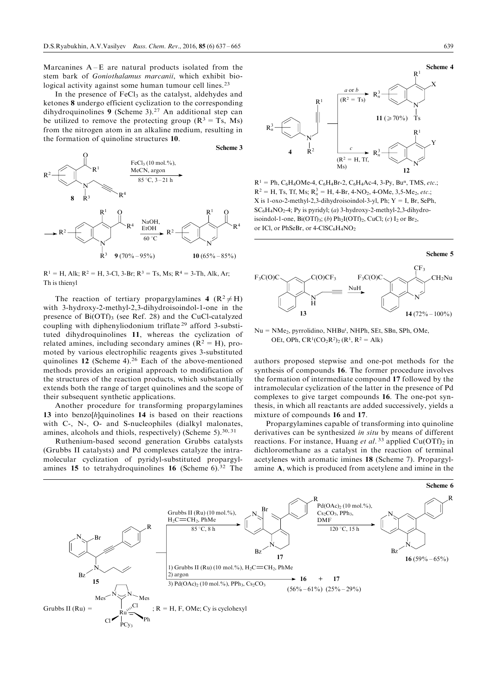Marcanines  $A - E$  are natural products isolated from the stem bark of Goniothalamus marcanii, which exhibit biological activity against some human tumour cell lines.<sup>23</sup>

In the presence of  $FeCl<sub>3</sub>$  as the catalyst, aldehydes and ketones 8 undergo efficient cyclization to the corresponding dihydroquinolines 9 (Scheme 3).<sup>27</sup> An additional step can be utilized to remove the protecting group  $(R^3 = Ts, Ms)$ from the nitrogen atom in an alkaline medium, resulting in the formation of quinoline structures 10.



 $R<sup>1</sup> = H$ , Alk;  $R<sup>2</sup> = H$ , 3-Cl, 3-Br;  $R<sup>3</sup> = Ts$ , Ms;  $R<sup>4</sup> = 3$ -Th, Alk, Ar; Th is thienyl

The reaction of tertiary propargylamines 4 ( $\mathbb{R}^2 \neq H$ ) with 3-hydroxy-2-methyl-2,3-dihydroisoindol-1-one in the presence of  $Bi(OTf)$ <sub>3</sub> (see Ref. 28) and the CuCl-catalyzed coupling with diphenyliodonium triflate <sup>29</sup> afford 3-substituted dihydroquinolines 11, whereas the cyclization of related amines, including secondary amines  $(R^2 = H)$ , promoted by various electrophilic reagents gives 3-substituted quinolines 12 (Scheme 4).<sup>26</sup> Each of the above-mentioned methods provides an original approach to modification of the structures of the reaction products, which substantially extends both the range of target quinolines and the scope of their subsequent synthetic applications.

Another procedure for transforming propargylamines 13 into benzo $[h]$ quinolines 14 is based on their reactions with C-, N-, O- and S-nucleophiles (dialkyl malonates, amines, alcohols and thiols, respectively) (Scheme  $5$ ).<sup>30, 31</sup>

Ruthenium-based second generation Grubbs catalysts (Grubbs II catalysts) and Pd complexes catalyze the intramolecular cyclization of pyridyl-substituted propargylamines 15 to tetrahydroquinolines 16 (Scheme  $6$ ).<sup>32</sup> The



 $R<sup>1</sup> = Ph, C<sub>6</sub>H<sub>4</sub>OMe-4, C<sub>6</sub>H<sub>4</sub>Br-2, C<sub>6</sub>H<sub>4</sub>Ac-4, 3-Py, Bu<sup>n</sup>, TMS, etc.;$  $R^2 = H$ , Ts, Tf, Ms;  $R_n^3 = H$ , 4-Br, 4-NO<sub>2</sub>, 4-OMe, 3,5-Me<sub>2</sub>, etc.; X is 1-oxo-2-methyl-2,3-dihydroisoindol-3-yl, Ph;  $Y = I$ , Br, SePh, SC6H4NO2-4; Py is pyridyl; (a) 3-hydroxy-2-methyl-2,3-dihydroisoindol-1-one,  $Bi(OTf)$ 3; (b) Ph<sub>2</sub>I(OTf)<sub>2</sub>, CuCl; (c) I<sub>2</sub> or Br<sub>2</sub>, or ICl, or PhSeBr, or 4-ClSC<sub>6</sub>H<sub>4</sub>NO<sub>2</sub>



Nu = NMe<sub>2</sub>, pyrrolidino, NHBu<sup>t</sup>, NHPh, SEt, SBn, SPh, OMe, OEt, OPh,  $CR^{1}(CO_{2}R^{2})_{2}$  ( $R^{1}$ ,  $R^{2} = Alk$ )

authors proposed stepwise and one-pot methods for the synthesis of compounds 16. The former procedure involves the formation of intermediate compound 17 followed by the intramolecular cyclization of the latter in the presence of Pd complexes to give target compounds 16. The one-pot synthesis, in which all reactants are added successively, yields a mixture of compounds 16 and 17.

Propargylamines capable of transforming into quinoline derivatives can be synthesized in situ by means of different reactions. For instance, Huang et al.<sup>33</sup> applied  $Cu(OTf)$ <sub>2</sub> in dichloromethane as a catalyst in the reaction of terminal acetylenes with aromatic imines 18 (Scheme 7). Propargylamine A, which is produced from acetylene and imine in the

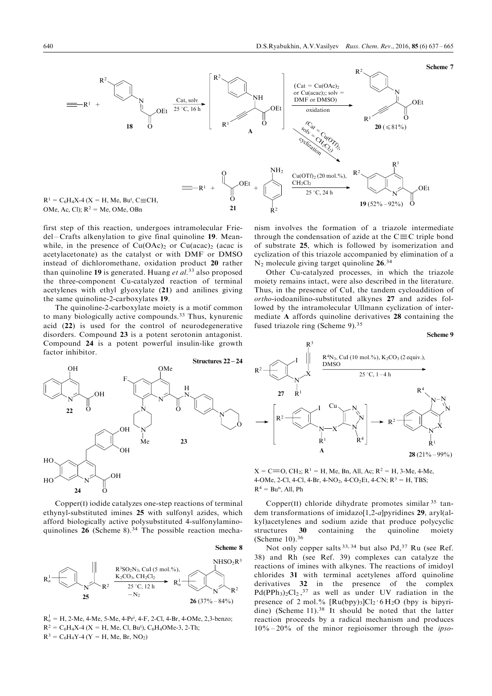

first step of this reaction, undergoes intramolecular Frie $del - Crafts$  alkenylation to give final quinoline 19. Meanwhile, in the presence of  $Cu(OAc)_2$  or  $Cu(acac)_2$  (acac is acetylacetonate) as the catalyst or with DMF or DMSO instead of dichloromethane, oxidation product 20 rather than quinoline 19 is generated. Huang et  $al^{33}$  also proposed the three-component Cu-catalyzed reaction of terminal acetylenes with ethyl glyoxylate (21) and anilines giving the same quinoline-2-carboxylates 19.

The quinoline-2-carboxylate moiety is a motif common to many biologically active compounds.<sup>33</sup> Thus, kynurenic acid (22) is used for the control of neurodegenerative disorders. Compound 23 is a potent serotonin antagonist. Compound 24 is a potent powerful insulin-like growth factor inhibitor.



Other Cu-catalyzed processes, in which the triazole moiety remains intact, were also described in the literature. Thus, in the presence of CuI, the tandem cycloaddition of ortho-iodoanilino-substituted alkynes 27 and azides followed by the intramolecular Ullmann cyclization of intermediate A affords quinoline derivatives 28 containing the fused triazole ring (Scheme 9).<sup>35</sup>



Copper(I) iodide catalyzes one-step reactions of terminal ethynyl-substituted imines 25 with sulfonyl azides, which afford biologically active polysubstituted 4-sulfonylaminoquinolines  $26$  (Scheme 8).<sup>34</sup> The possible reaction mecha-



Scheme 8

 $R_n^1 = H$ , 2-Me, 4-Me, 5-Me, 4-Pr<sup>i</sup>, 4-F, 2-Cl, 4-Br, 4-OMe, 2,3-benzo;  $R^2 = C_6H_4X-4$  (X = H, Me, Cl, Bu<sup>t</sup>), C<sub>6</sub>H<sub>4</sub>OMe-3, 2-Th;  $R<sup>3</sup> = C<sub>6</sub>H<sub>4</sub>Y-4$  (Y = H, Me, Br, NO<sub>2</sub>)



 $X = C = 0$ , CH<sub>2</sub>;  $R^1 = H$ , Me, Bn, All, Ac;  $R^2 = H$ , 3-Me, 4-Me, 4-OMe, 2-Cl, 4-Cl, 4-Br, 4-NO<sub>2</sub>, 4-CO<sub>2</sub>Et, 4-CN;  $R^3 = H$ , TBS;  $R^4 = Bu^n$ , All, Ph

Copper(II) chloride dihydrate promotes similar  $35$  tandem transformations of imidazo[1,2-a]pyridines 29, aryl(alkyl)acetylenes and sodium azide that produce polycyclic structures 30 containing the quinoline moiety (Scheme 10).<sup>36</sup>

Not only copper salts 33, 34 but also Pd, 37 Ru (see Ref. 38) and Rh (see Ref. 39) complexes can catalyze the reactions of imines with alkynes. The reactions of imidoyl chlorides 31 with terminal acetylenes afford quinoline derivatives 32 in the presence of the complex  $Pd(PPh<sub>3</sub>)<sub>2</sub>Cl<sub>2</sub>$ ,<sup>37</sup> as well as under UV radiation in the presence of 2 mol.%  $\left[\text{Ru(bpy)}_{3}\right] \text{Cl}_{2} \cdot 6 \text{H}_{2}\text{O}$  (bpy is bipyridine) (Scheme 11).<sup>38</sup> It should be noted that the latter reaction proceeds by a radical mechanism and produces  $10\% - 20\%$  of the minor regioisomer through the *ipso*-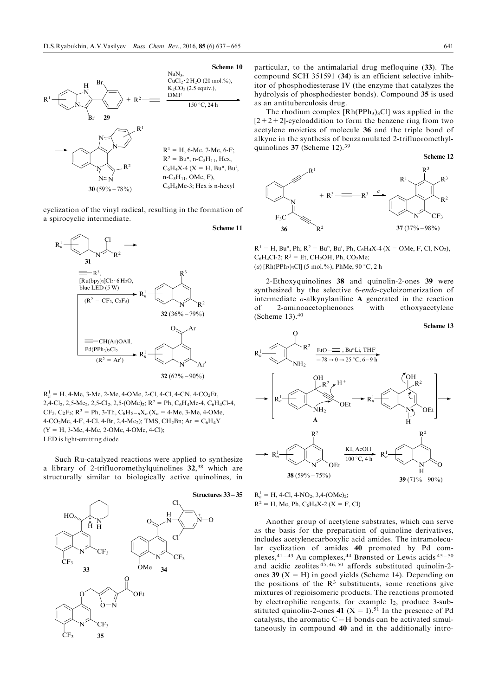

cyclization of the vinyl radical, resulting in the formation of a spirocyclic intermediate.



 $R_n^1 = H$ , 4-Me, 3-Me, 2-Me, 4-OMe, 2-Cl, 4-Cl, 4-CN, 4-CO<sub>2</sub>Et, 2,4-Cl<sub>2</sub>, 2,5-Me<sub>2</sub>, 2,5-Cl<sub>2</sub>, 2,5-(OMe)<sub>2</sub>; R<sup>2</sup> = Ph, C<sub>6</sub>H<sub>4</sub>Me-4, C<sub>6</sub>H<sub>4</sub>Cl-4,  $CF_3$ ,  $C_2F_5$ ;  $R^3 = Ph$ , 3-Th,  $C_6H_{5-n}X_n$  ( $X_n = 4$ -Me, 3-Me, 4-OMe, 4-CO<sub>2</sub>Me, 4-F, 4-Cl, 4-Br, 2,4-Me<sub>2</sub>); TMS, CH<sub>2</sub>Bn; Ar = C<sub>6</sub>H<sub>4</sub>Y  $(Y = H, 3-Me, 4-Me, 2-OMe, 4-OMe, 4-Cl);$ LED is light-emitting diode

Such Ru-catalyzed reactions were applied to synthesize a library of 2-trifluoromethylquinolines  $32$ ,<sup>38</sup> which are structurally similar to biologically active quinolines, in



particular, to the antimalarial drug mefloquine (33). The compound SCH 351591 (34) is an efficient selective inhibitor of phosphodiesterase IV (the enzyme that catalyzes the hydrolysis of phosphodiester bonds). Compound 35 is used as an antituberculosis drug.

The rhodium complex  $[Rh(PPh<sub>3</sub>)<sub>3</sub>Cl]$  was applied in the  $[2+2+2]$ -cycloaddition to form the benzene ring from two acetylene moieties of molecule 36 and the triple bond of alkyne in the synthesis of benzannulated 2-trifluoromethylquinolines 37 (Scheme 12).<sup>39</sup>

Scheme 12



 $R<sup>1</sup> = H$ , Bu<sup>n</sup>, Ph;  $R<sup>2</sup> = Bu<sup>n</sup>$ , Bu<sup>t</sup>, Ph, C<sub>6</sub>H<sub>4</sub>X-4 (X = OMe, F, Cl, NO<sub>2</sub>),  $C_6H_4Cl-2$ ;  $R^3 = Et$ ,  $CH_2OH$ ,  $Ph$ ,  $CO_2Me$ ; (a)  $[Rh(PPh<sub>3</sub>)<sub>3</sub>Cl]$  (5 mol.%), PhMe, 90 °C, 2 h

2-Ethoxyquinolines 38 and quinolin-2-ones 39 were synthesized by the selective 6-endo-cycloizomerization of intermediate o-alkynylaniline A generated in the reaction of 2-aminoacetophenones with ethoxyacetylene (Scheme 13).<sup>40</sup>



 $R_n^1 = H$ , 4-Cl, 4-NO<sub>2</sub>, 3,4-(OMe)<sub>2</sub>;  $R^2 = H$ , Me, Ph, C<sub>6</sub>H<sub>4</sub>X-2 (X = F, Cl)

Another group of acetylene substrates, which can serve as the basis for the preparation of quinoline derivatives, includes acetylenecarboxylic acid amides. The intramolecular cyclization of amides 40 promoted by Pd complexes,<sup>41-43</sup> Au complexes,<sup>44</sup> Brønsted or Lewis acids<sup>45-50</sup> and acidic zeolites 45, 46, 50 affords substituted quinolin-2 ones 39 ( $X = H$ ) in good yields (Scheme 14). Depending on the positions of the  $R<sup>3</sup>$  substituents, some reactions give mixtures of regioisomeric products. The reactions promoted by electrophilic reagents, for example  $I_2$ , produce 3-substituted quinolin-2-ones 41 ( $X = I$ ).<sup>51</sup> In the presence of Pd catalysts, the aromatic  $C-H$  bonds can be activated simultaneously in compound 40 and in the additionally intro-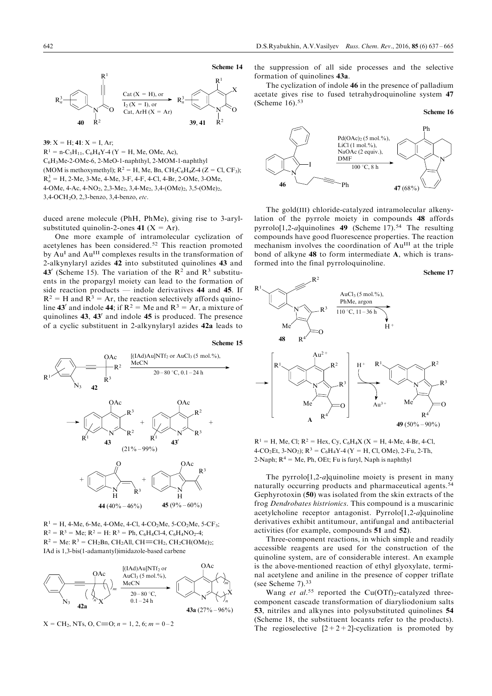

39:  $X = H$ ; 41:  $X = I$ , Ar;  $R<sup>1</sup> = n-C<sub>5</sub>H<sub>11</sub>, C<sub>6</sub>H<sub>4</sub>Y-4 (Y = H, Me, OMe, Ac),$ C6H3Me-2-OMe-6, 2-MeO-1-naphthyl, 2-MOM-1-naphthyl (MOM is methoxymethyl);  $R^2 = H$ , Me, Bn, CH<sub>2</sub>C<sub>6</sub>H<sub>4</sub>Z-4 (Z = Cl, CF<sub>3</sub>);  $R_n^3 = H$ , 2-Me, 3-Me, 4-Me, 3-F, 4-F, 4-Cl, 4-Br, 2-OMe, 3-OMe, 4-OMe, 4-Ac, 4-NO<sub>2</sub>, 2,3-Me<sub>2</sub>, 3,4-Me<sub>2</sub>, 3,4-(OMe)<sub>2</sub>, 3,5-(OMe)<sub>2</sub>, 3,4-OCH2O, 2,3-benzo, 3,4-benzo, etc.

duced arene molecule (PhH, PhMe), giving rise to 3-arylsubstituted quinolin-2-ones 41  $(X = Ar)$ .

One more example of intramolecular cyclization of acetylenes has been considered.<sup>52</sup> This reaction promoted by Au<sup>I</sup> and Au<sup>III</sup> complexes results in the transformation of 2-alkynylaryl azides 42 into substituted quinolines 43 and 43' (Scheme 15). The variation of the  $R^2$  and  $R^3$  substituents in the propargyl moiety can lead to the formation of side reaction products  $-$  indole derivatives 44 and 45. If  $R^2 = H$  and  $R^3 = Ar$ , the reaction selectively affords quinoline 43' and indole 44; if  $R^2$  = Me and  $R^3$  = Ar, a mixture of quinolines  $43$ ,  $43'$  and indole  $45$  is produced. The presence of a cyclic substituent in 2-alkynylaryl azides 42a leads to

Scheme 15



 $R<sup>1</sup> = H$ , 4-Me, 6-Me, 4-OMe, 4-Cl, 4-CO<sub>2</sub>Me, 5-CO<sub>2</sub>Me, 5-CF<sub>3</sub>;  $R^2 = R^3 = Me$ ;  $R^2 = H$ :  $R^3 = Ph$ ,  $C_6H_4Cl$ -4,  $C_6H_4NO_2$ -4;  $R^2$  = Me:  $R^3$  = CH<sub>2</sub>Bn, CH<sub>2</sub>All, CH=CH<sub>2</sub>, CH<sub>2</sub>CH(OMe)<sub>2</sub>; IAd is 1,3-bis(1-adamantyl)imidazole-based carbene



 $X = CH_2$ , NTs, O, C=O;  $n = 1, 2, 6$ ;  $m = 0-2$ 

the suppression of all side processes and the selective formation of quinolines 43a.

The cyclization of indole 46 in the presence of palladium acetate gives rise to fused tetrahydroquinoline system 47 (Scheme  $16$ ).<sup>53</sup>

#### Scheme 16



The gold(III) chloride-catalyzed intramolecular alkenylation of the pyrrole moiety in compounds 48 affords pyrrolo[1,2-a]quinolines 49 (Scheme 17).<sup>54</sup> The resulting compounds have good fluorescence properties. The reaction mechanism involves the coordination of Au<sup>III</sup> at the triple bond of alkyne 48 to form intermediate A, which is transformed into the final pyrroloquinoline.





 $R<sup>1</sup> = H$ , Me, Cl;  $R<sup>2</sup> =$  Hex, Cy, C<sub>6</sub>H<sub>4</sub>X (X = H, 4-Me, 4-Br, 4-Cl, 4-CO<sub>2</sub>Et, 3-NO<sub>2</sub>);  $R^3 = C_6H_4Y-4$  (Y = H, Cl, OMe), 2-Fu, 2-Th, 2-Naph;  $R^4$  = Me, Ph, OEt; Fu is furyl, Naph is naphthyl

The pyrrolo[1,2-a]quinoline moiety is present in many naturally occurring products and pharmaceutical agents.<sup>54</sup> Gephyrotoxin (50) was isolated from the skin extracts of the frog Dendrobates histrionics. This compound is a muscarinic acetylcholine receptor antagonist. Pyrrolo[1,2-a]quinoline derivatives exhibit antitumour, antifungal and antibacterial activities (for example, compounds 51 and 52).

Three-component reactions, in which simple and readily accessible reagents are used for the construction of the quinoline system, are of considerable interest. An example is the above-mentioned reaction of ethyl glyoxylate, terminal acetylene and aniline in the presence of copper triflate (see Scheme 7).<sup>33</sup>

Wang et al.<sup>55</sup> reported the Cu(OTf)<sub>2</sub>-catalyzed threecomponent cascade transformation of diaryliodonium salts 53, nitriles and alkynes into polysubstituted quinolines 54 (Scheme 18, the substituent locants refer to the products). The regioselective  $[2+2+2]$ -cyclization is promoted by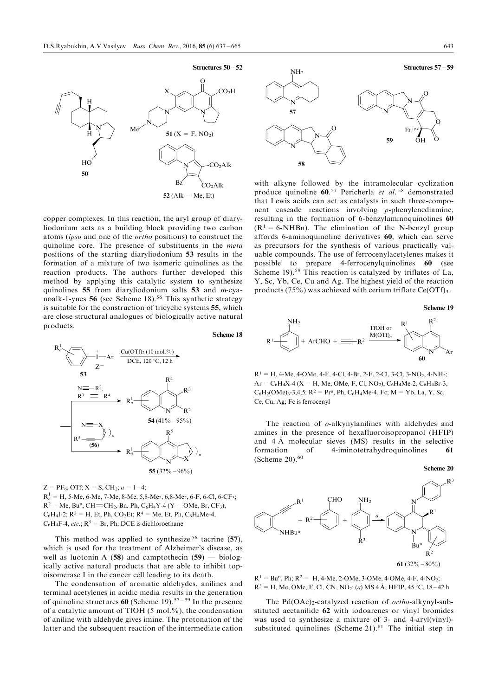

copper complexes. In this reaction, the aryl group of diaryliodonium acts as a building block providing two carbon atoms (ipso and one of the ortho positions) to construct the quinoline core. The presence of substituents in the *meta* positions of the starting diaryliodonium 53 results in the formation of a mixture of two isomeric quinolines as the reaction products. The authors further developed this method by applying this catalytic system to synthesize quinolines 55 from diaryliodonium salts 53 and o-cyanoalk-1-ynes 56 (see Scheme 18).<sup>56</sup> This synthetic strategy is suitable for the construction of tricyclic systems 55, which are close structural analogues of biologically active natural products.

Scheme 18



 $Z = PF_6$ , OTf;  $X = S$ , CH<sub>2</sub>;  $n = 1-4$ ;  $R_n^1 = H$ , 5-Me, 6-Me, 7-Me, 8-Me, 5,8-Me<sub>2</sub>, 6,8-Me<sub>2</sub>, 6-F, 6-Cl, 6-CF<sub>3</sub>;  $R^2 = Me$ , Bu<sup>n</sup>, CH=CH<sub>2</sub>, Bn, Ph, C<sub>6</sub>H<sub>4</sub>Y-4 (Y = OMe, Br, CF<sub>3</sub>),  $C_6H_4I-2$ ;  $R^3 = H$ , Et, Ph,  $CO_2Et$ ;  $R^4 = Me$ , Et, Ph,  $C_6H_4Me-4$ ,  $C_6H_4F-4$ , *etc.*;  $R^5 = Br$ , Ph; DCE is dichloroethane

This method was applied to synthesize<sup>56</sup> tacrine (57), which is used for the treatment of Alzheimer's disease, as well as luotonin A  $(58)$  and camptothecin  $(59)$  — biologically active natural products that are able to inhibit topoisomerase I in the cancer cell leading to its death.

The condensation of aromatic aldehydes, anilines and terminal acetylenes in acidic media results in the generation of quinoline structures 60 (Scheme 19).<sup>57-59</sup> In the presence of a catalytic amount of TfOH (5 mol.%), the condensation of aniline with aldehyde gives imine. The protonation of the latter and the subsequent reaction of the intermediate cation



with alkyne followed by the intramolecular cyclization produce quinoline 60.<sup>57</sup> Pericherla et al.<sup>58</sup> demonstrated that Lewis acids can act as catalysts in such three-component cascade reactions involving p-phenylenediamine, resulting in the formation of 6-benzylaminoquinolines 60  $(R<sup>1</sup> = 6-NH Bn)$ . The elimination of the N-benzyl group affords 6-aminoquinoline derivatives 60, which can serve as precursors for the synthesis of various practically valuable compounds. The use of ferrocenylacetylenes makes it possible to prepare 4-ferrocenylquinolines 60 (see Scheme 19).<sup>59</sup> This reaction is catalyzed by triflates of La, Y, Sc, Yb, Ce, Cu and Ag. The highest yield of the reaction products (75%) was achieved with cerium triflate  $Ce(OTf)_{3}$ .



 $R<sup>1</sup> = H$ , 4-Me, 4-OMe, 4-F, 4-Cl, 4-Br, 2-F, 2-Cl, 3-Cl, 3-NO<sub>2</sub>, 4-NH<sub>2</sub>;  $Ar = C_6H_4X-4$  (X = H, Me, OMe, F, Cl, NO<sub>2</sub>),  $C_6H_4Me-2$ ,  $C_6H_4Br-3$ ,  $C_6H_2(OMe)_{3-}3,4,5; R^2 = Pr^n, Ph, C_6H_4Me-4, Fc; M = Yb, La, Y, Sc,$ Ce, Cu, Ag; Fc is ferrocenyl

The reaction of  $o$ -alkynylanilines with aldehydes and amines in the presence of hexafluoroisopropanol (HFIP) and 4 A molecular sieves (MS) results in the selective formation of 4-iminotetrahydroquinolines 61 (Scheme  $20$ ).<sup>60</sup>

Scheme 20



 $R<sup>1</sup> = Bu<sup>n</sup>$ , Ph;  $R<sup>2</sup> = H$ , 4-Me, 2-OMe, 3-OMe, 4-OMe, 4-F, 4-NO<sub>2</sub>;  $R^3 = H$ , Me, OMe, F, Cl, CN, NO<sub>2</sub>; (a) MS 4 Å, HFIP, 45 °C, 18 – 42 h

The Pd(OAc)<sub>2</sub>-catalyzed reaction of *ortho-alkynyl-sub*stituted acetanilide 62 with iodoarenes or vinyl bromides was used to synthesize a mixture of 3- and 4-aryl(vinyl) substituted quinolines (Scheme 21). $61$  The initial step in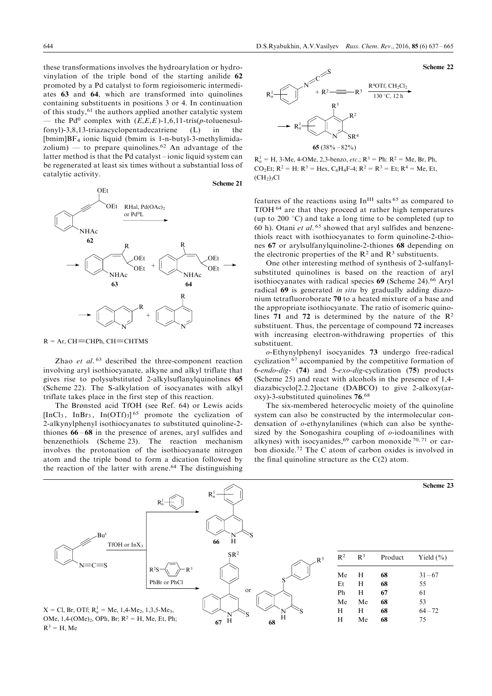Scheme 22

these transformations involves the hydroarylation or hydrovinylation of the triple bond of the starting anilide 62 promoted by a Pd catalyst to form regioisomeric intermediates 63 and 64, which are transformed into quinolines containing substituents in positions 3 or 4. In continuation of this study,<sup>61</sup> the authors applied another catalytic system – the Pd<sup>0</sup> complex with  $(E, E, E)$ -1,6,11-tris(p-toluenesulfonyl)-3,8,13-triazacyclopentadecatriene (L) in the [bmim]BF4 ionic liquid (bmim is 1-n-butyl-3-methylimidazolium)  $-$  to prepare quinolines.<sup>62</sup> An advantage of the latter method is that the Pd catalyst-ionic liquid system can be regenerated at least six times without a substantial loss of catalytic activity.



 $R = Ar$ , CH=CHPh, CH=CHTMS

Zhao et  $al.$  <sup>63</sup> described the three-component reaction involving aryl isothiocyanate, alkyne and alkyl triflate that gives rise to polysubstituted 2-alkylsuflanylquinolines 65 (Scheme 22). The S-alkylation of isocyanates with alkyl triflate takes place in the first step of this reaction.

The Brønsted acid TfOH (see Ref. 64) or Lewis acids  $[InCl<sub>3</sub>, InBr<sub>3</sub>, In(OTf)<sub>3</sub>]$ <sup>65</sup> promote the cyclization of 2-alkynylphenyl isothiocyanates to substituted quinoline-2 thiones  $66 - 68$  in the presence of arenes, aryl sulfides and benzenethiols (Scheme 23). The reaction mechanism involves the protonation of the isothiocyanate nitrogen atom and the triple bond to form a dication followed by the reaction of the latter with arene.<sup>64</sup> The distinguishing



 $R_n^1 = H$ , 3-Me, 4-OMe, 2,3-benzo, *etc*.;  $R^3 = Ph$ :  $R^2 = Me$ , Br, Ph, CO<sub>2</sub>Et;  $R^2 = H$ :  $R^3 =$  Hex,  $C_6H_4F_4$ ;  $R^2 = R^3 =$  Et;  $R^4 =$  Me, Et,  $(CH_2)$ 3Cl

features of the reactions using  $In<sup>III</sup>$  salts <sup>65</sup> as compared to TfOH <sup>64</sup> are that they proceed at rather high temperatures (up to 200 $\degree$ C) and take a long time to be completed (up to 60 h). Otani et  $al$ . <sup>65</sup> showed that aryl sulfides and benzenethiols react with isothiocyanates to form quinoline-2-thiones 67 or arylsulfanylquinoline-2-thiones 68 depending on the electronic properties of the  $\mathbb{R}^2$  and  $\mathbb{R}^3$  substituents.

One other interesting method of synthesis of 2-sulfanylsubstituted quinolines is based on the reaction of aryl isothiocyanates with radical species 69 (Scheme 24).<sup>66</sup> Aryl radical 69 is generated *in situ* by gradually adding diazonium tetrafluoroborate 70 to a heated mixture of a base and the appropriate isothiocyanate. The ratio of isomeric quinolines 71 and 72 is determined by the nature of the  $\mathbb{R}^2$ substituent. Thus, the percentage of compound 72 increases with increasing electron-withdrawing properties of this substituent.

o-Ethynylphenyl isocyanides 73 undergo free-radical cyclization <sup>67</sup> accompanied by the competitive formation of 6-endo-dig- (74) and 5-exo-dig-cyclization (75) products (Scheme 25) and react with alcohols in the presence of 1,4 diazabicyclo[2.2.2]octane (DABCO) to give 2-alkoxy(aroxy)-3-substituted quinolines 76. 68

The six-membered heterocyclic moiety of the quinoline system can also be constructed by the intermolecular condensation of o-ethynylanilines (which can also be synthesized by the Sonogashira coupling of  $o$ -iodoanilines with alkynes) with isocyanides,<sup>69</sup> carbon monoxide  $70, 71$  or carbon dioxide.<sup>72</sup> The C atom of carbon oxides is involved in the final quinoline structure as the  $C(2)$  atom.

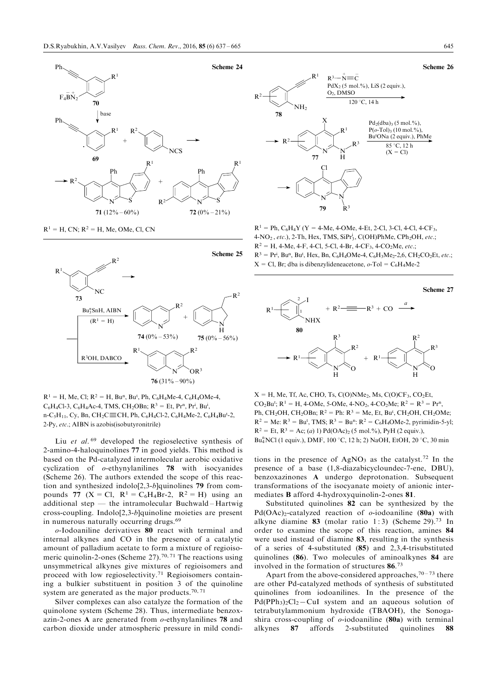

 $R<sup>1</sup> = H, CN; R<sup>2</sup> = H, Me, OMe, Cl, CN$ 



 $R<sup>1</sup> = H$ , Me, Cl;  $R<sup>2</sup> = H$ , Bu<sup>n</sup>, Bu<sup>t</sup>, Ph, C<sub>6</sub>H<sub>4</sub>Me-4, C<sub>6</sub>H<sub>4</sub>OMe-4,  $C_6H_4Cl-3$ ,  $C_6H_4Ac-4$ , TMS,  $CH_2OBn$ ;  $R^3 = Et$ ,  $Pr<sup>n</sup>$ ,  $Pr<sup>i</sup>$ ,  $Bu<sup>i</sup>$ ,  $n\text{-}C_5H_{11}$ , Cy, Bn, CH<sub>2</sub>C $\equiv$ CH, Ph, C<sub>6</sub>H<sub>4</sub>Cl-2, C<sub>6</sub>H<sub>4</sub>Me-2, C<sub>6</sub>H<sub>4</sub>Bu<sup>t</sup>-2, 2-Py, etc.; AIBN is azobis(isobutyronitrile)

Liu et al.<sup>69</sup> developed the regioselective synthesis of 2-amino-4-haloquinolines 77 in good yields. This method is based on the Pd-catalyzed intermolecular aerobic oxidative cyclization of o-ethynylanilines 78 with isocyanides (Scheme 26). The authors extended the scope of this reaction and synthesized indolo[2,3-b]quinolines 79 from compounds 77 (X = Cl,  $R^1 = C_6H_4Br-2$ ,  $R^2 = H$ ) using an additional step  $-$  the intramolecular Buchwald – Hartwig cross-coupling. Indolo[2,3-b]quinoline moieties are present in numerous naturally occurring drugs.<sup>69</sup>

o-Iodoaniline derivatives 80 react with terminal and internal alkynes and CO in the presence of a catalytic amount of palladium acetate to form a mixture of regioisomeric quinolin-2-ones (Scheme  $27$ ).<sup>70, 71</sup> The reactions using unsymmetrical alkynes give mixtures of regioisomers and proceed with low regioselectivity.<sup>71</sup> Regioisomers containing a bulkier substituent in position 3 of the quinoline system are generated as the major products.<sup>70,71</sup>

Silver complexes can also catalyze the formation of the quinolone system (Scheme 28). Thus, intermediate benzoxazin-2-ones A are generated from  $o$ -ethynylanilines 78 and carbon dioxide under atmospheric pressure in mild condi-



 $R<sup>1</sup>$  = Ph, C<sub>6</sub>H<sub>4</sub>Y (Y = 4-Me, 4-OMe, 4-Et, 2-Cl, 3-Cl, 4-Cl, 4-CF<sub>3</sub>, 4-NO<sub>2</sub>, etc.), 2-Th, Hex, TMS,  $SiPr<sup>j</sup><sub>3</sub>$ , C(OH)PhMe, CPh<sub>2</sub>OH, etc.;  $R^2 = H$ , 4-Me, 4-F, 4-Cl, 5-Cl, 4-Br, 4-CF<sub>3</sub>, 4-CO<sub>2</sub>Me, etc.;  $R^3 = Pr^i$ , Bu<sup>n</sup>, Bu<sup>t</sup>, Hex, Bn, C<sub>6</sub>H<sub>4</sub>OMe-4, C<sub>6</sub>H<sub>3</sub>Me<sub>2</sub>-2,6, CH<sub>2</sub>CO<sub>2</sub>Et, etc.;  $X = CI$ , Br; dba is dibenzylideneacetone,  $o$ -Tol = C<sub>6</sub>H<sub>4</sub>Me-2



 $X = H$ , Me, Tf, Ac, CHO, Ts, C(O)NMe<sub>2</sub>, Ms, C(O)CF<sub>3</sub>, CO<sub>2</sub>Et,  $CO_2$ Bu<sup>t</sup>; R<sup>1</sup> = H, 4-OMe, 5-OMe, 4-NO<sub>2</sub>, 4-CO<sub>2</sub>Me; R<sup>2</sup> = R<sup>3</sup> = Pr<sup>n</sup>, Ph, CH<sub>2</sub>OH, CH<sub>2</sub>OBn;  $R^2 = Ph$ :  $R^3 = Me$ , Et, Bu<sup>t</sup>, CH<sub>2</sub>OH, CH<sub>2</sub>OMe;  $R^2 = Me$ :  $R^3 = Bu^t$ , TMS;  $R^3 = Bu^n$ :  $R^2 = C_6H_4OMe-2$ , pyrimidin-5-yl;  $R^2 = Et$ ,  $R^3 = Ac$ ; (a) 1) Pd(OAc)<sub>2</sub> (5 mol.%), PyH (2 equiv.), Bu<sub>4</sub>NCl (1 equiv.), DMF, 100 °C, 12 h; 2) NaOH, EtOH, 20 °C, 30 min

tions in the presence of  $AgNO_3$  as the catalyst.<sup>72</sup> In the presence of a base (1,8-diazabicycloundec-7-ene, DBU), benzoxazinones A undergo deprotonation. Subsequent transformations of the isocyanate moiety of anionic intermediates B afford 4-hydroxyquinolin-2-ones 81.

Substituted quinolines 82 can be synthesized by the Pd(OAc)<sub>2</sub>-catalyzed reaction of  $o$ -iodoaniline (80a) with alkyne diamine 83 (molar ratio 1:3) (Scheme 29).<sup>73</sup> In order to examine the scope of this reaction, amines 84 were used instead of diamine 83, resulting in the synthesis of a series of 4-substituted (85) and 2,3,4-trisubstituted quinolines (86). Two molecules of aminoalkynes 84 are involved in the formation of structures 86. 73

Apart from the above-considered approaches,  $70 - 73$  there are other Pd-catalyzed methods of synthesis of substituted quinolines from iodoanilines. In the presence of the  $Pd(PPh<sub>3</sub>)<sub>2</sub>Cl<sub>2</sub> - CuI$  system and an aqueous solution of tetrabutylammonium hydroxide (TBAOH), the Sonogashira cross-coupling of  $o$ -iodoaniline (80a) with terminal alkynes 87 affords 2-substituted quinolines 88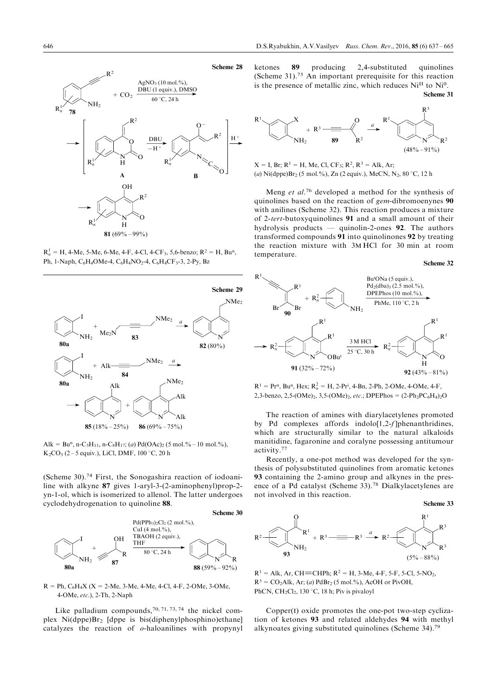

 $R_n^1 = H$ , 4-Me, 5-Me, 6-Me, 4-F, 4-Cl, 4-CF<sub>3</sub>, 5,6-benzo;  $R^2 = H$ , Bu<sup>n</sup>, Ph, 1-Naph,  $C_6H_4OMe-4$ ,  $C_6H_4NO_2-4$ ,  $C_6H_4CF_3-3$ , 2-Py, Bz



Alk = Bu<sup>n</sup>, n-C<sub>5</sub>H<sub>11</sub>, n-C<sub>8</sub>H<sub>17</sub>; (*a*) Pd(OAc)<sub>2</sub> (5 mol.% – 10 mol.%),  $K_2CO_3$  (2 – 5 equiv.), LiCl, DMF, 100 °C, 20 h

(Scheme 30).<sup>74</sup> First, the Sonogashira reaction of iodoaniline with alkyne 87 gives 1-aryl-3-(2-aminophenyl)prop-2 yn-1-ol, which is isomerized to allenol. The latter undergoes cyclodehydrogenation to quinoline 88.



# $R = Ph, C_6H_4X (X = 2-Me, 3-Me, 4-Me, 4-Cl, 4-F, 2-OMe, 3-OMe,$ 4-OMe, etc.), 2-Th, 2-Naph

Like palladium compounds,  $70, 71, 73, 74$  the nickel complex Ni(dppe)Br2 [dppe is bis(diphenylphosphino)ethane] catalyzes the reaction of o-haloanilines with propynyl ketones 89 producing 2,4-substituted quinolines (Scheme 31).<sup>75</sup> An important prerequisite for this reaction is the presence of metallic zinc, which reduces Ni<sup>II</sup> to Ni<sup>0</sup>. Scheme 31



 $X = I$ , Br; R<sup>1</sup> = H, Me, Cl, CF<sub>3</sub>; R<sup>2</sup>, R<sup>3</sup> = Alk, Ar; (a) Ni(dppe) $Br_2$  (5 mol.%), Zn (2 equiv.), MeCN, N<sub>2</sub>, 80 °C, 12 h

Meng et  $al.^{76}$  developed a method for the synthesis of quinolines based on the reaction of gem-dibromoenynes 90 with anilines (Scheme 32). This reaction produces a mixture of 2-tert-butoxyquinolines 91 and a small amount of their hydrolysis products  $-\frac{1}{2}$  quinolin-2-ones 92. The authors transformed compounds 91 into quinolinones 92 by treating the reaction mixture with 3M HCl for 30 min at room temperature.





 $R^1 = Pr^n$ , Bu<sup>n</sup>, Hex;  $R_n^2 = H$ , 2-Pr<sup>i</sup>, 4-Bn, 2-Ph, 2-OMe, 4-OMe, 4-F, 2,3-benzo, 2,5-(OMe)<sub>2</sub>, 3,5-(OMe)<sub>2</sub>, etc.; DPEPhos =  $(2-Ph_2PC_6H_4)_2O$ 

The reaction of amines with diarylacetylenes promoted by Pd complexes affords indolo[1,2- $f$ ]phenanthridines, which are structurally similar to the natural alkaloids manitidine, fagaronine and coralyne possessing antitumour activity.<sup>77</sup>

Recently, a one-pot method was developed for the synthesis of polysubstituted quinolines from aromatic ketones 93 containing the 2-amino group and alkynes in the presence of a Pd catalyst (Scheme 33).<sup>78</sup> Dialkylacetylenes are not involved in this reaction.

Scheme 33



 $R<sup>1</sup> = Alk, Ar, CH = CHPh; R<sup>2</sup> = H, 3-Me, 4-F, 5-F, 5-Cl, 5-NO<sub>2</sub>$  $R<sup>3</sup> = CO<sub>2</sub>Alk$ , Ar; (a) PdBr<sub>2</sub> (5 mol.%), AcOH or PivOH, PhCN,  $CH_2Cl_2$ , 130 °C, 18 h; Piv is pivaloyl

Copper(I) oxide promotes the one-pot two-step cyclization of ketones 93 and related aldehydes 94 with methyl alkynoates giving substituted quinolines (Scheme 34).79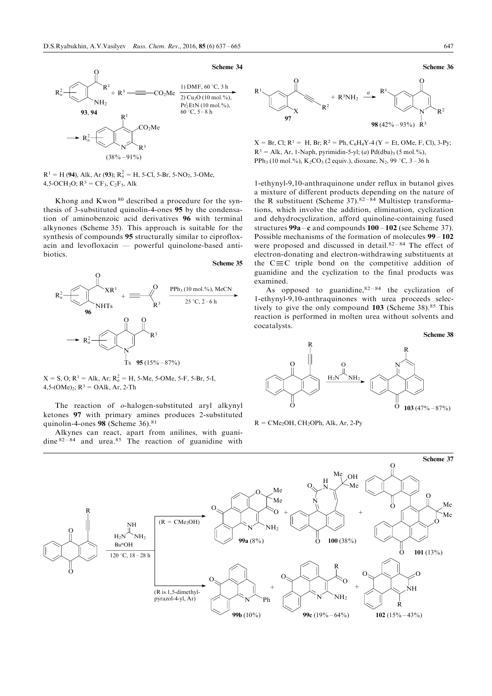

 $R<sup>1</sup> = H(94)$ , Alk, Ar (93);  $R<sub>n</sub><sup>2</sup> = H$ , 5-Cl, 5-Br, 5-NO<sub>2</sub>, 3-OMe, 4,5-OCH<sub>2</sub>O;  $R^3 = CF_3$ , C<sub>2</sub>F<sub>5</sub>, Alk

Khong and Kwon <sup>80</sup> described a procedure for the synthesis of 3-substituted quinolin-4-ones 95 by the condensation of aminobenzoic acid derivatives 96 with terminal alkynones (Scheme 35). This approach is suitable for the synthesis of compounds 95 structurally similar to ciproflox $acin$  and levofloxacin  $-$  powerful quinolone-based antibiotics.

#### Scheme 35





The reaction of *o*-halogen-substituted aryl alkynyl ketones 97 with primary amines produces 2-substituted quinolin-4-ones 98 (Scheme 36).<sup>81</sup>

Alkynes can react, apart from anilines, with guanidine  $82 - 84$  and urea.<sup>85</sup> The reaction of guanidine with



 $X = Br$ , Cl;  $R^1 = H$ , Br;  $R^2 = Ph$ ,  $C_6H_4Y - 4$  (Y = Et, OMe, F, Cl), 3-Py;  $R<sup>3</sup> = Alk$ , Ar, 1-Naph, pyrimidin-5-yl; (a) Pd(dba)<sub>3</sub> (5 mol.%), PPh<sub>3</sub> (10 mol.%), K<sub>2</sub>CO<sub>3</sub> (2 equiv.), dioxane, N<sub>2</sub>, 99 °C, 3–36 h

1-ethynyl-9,10-anthraquinone under reflux in butanol gives a mixture of different products depending on the nature of the R substituent (Scheme 37).<sup>82-84</sup> Multistep transformations, which involve the addition, elimination, cyclization and dehydrocyclization, afford quinoline-containing fused structures  $99a - c$  and compounds  $100 - 102$  (see Scheme 37). Possible mechanisms of the formation of molecules  $99 - 102$ were proposed and discussed in detail. $82 - 84$  The effect of electron-donating and electron-withdrawing substituents at the  $C\equiv C$  triple bond on the competitive addition of guanidine and the cyclization to the final products was examined.

As opposed to guanidine,  $82 - 84$  the cyclization of 1-ethynyl-9,10-anthraquinones with urea proceeds selectively to give the only compound  $103$  (Scheme 38).<sup>85</sup> This reaction is performed in molten urea without solvents and cocatalysts.

Scheme 38



 $R = CMe<sub>2</sub>OH$ ,  $CH<sub>2</sub>OPh$ , Alk, Ar, 2-Py

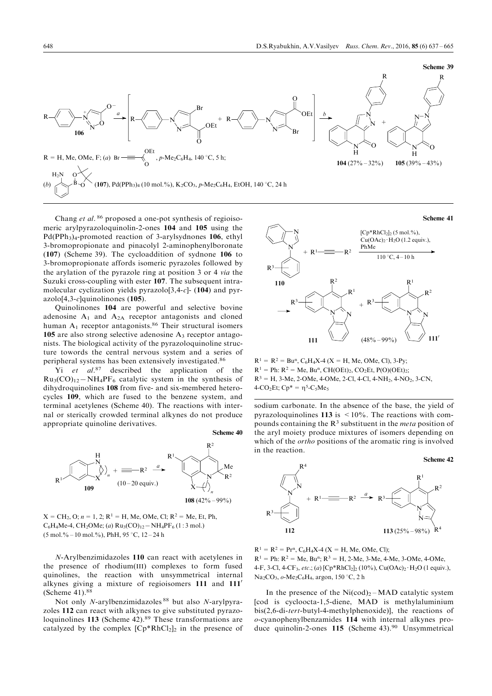

Chang et al. <sup>86</sup> proposed a one-pot synthesis of regioisomeric arylpyrazoloquinolin-2-ones 104 and 105 using the Pd(PPh3)4-promoted reaction of 3-arylsydnones 106, ethyl 3-bromopropionate and pinacolyl 2-aminophenylboronate (107) (Scheme 39). The cycloaddition of sydnone 106 to 3-bromopropionate affords isomeric pyrazoles followed by the arylation of the pyrazole ring at position 3 or 4 via the Suzuki cross-coupling with ester 107. The subsequent intramolecular cyclization yields pyrazolo<sup>[3,4-c]-</sup> (104) and pyrazolo[4,3-c]quinolinones (105).

Quinolinones 104 are powerful and selective bovine adenosine  $A_1$  and  $A_{2A}$  receptor antagonists and cloned human  $A_1$  receptor antagonists.<sup>86</sup> Their structural isomers 105 are also strong selective adenosine  $A_3$  receptor antagonists. The biological activity of the pyrazoloquinoline structure towords the central nervous system and a series of peripheral systems has been extensively investigated.<sup>86</sup>

 $Y_i$  et al.<sup>87</sup> described the application of the  $Ru_3(CO)_{12}-NH_4PF_6$  catalytic system in the synthesis of dihydroquinolines 108 from five- and six-membered heterocycles 109, which are fused to the benzene system, and terminal acetylenes (Scheme 40). The reactions with internal or sterically crowded terminal alkynes do not produce appropriate quinoline derivatives. Scheme 40



 $X = CH_2, O; n = 1, 2; R^1 = H, Me, OMe, Cl; R^2 = Me, Et, Ph,$  $C_6H_4Me-4$ , CH<sub>2</sub>OMe; (a)  $Ru_3(CO)_{12} - NH_4PF_6$  (1 : 3 mol.)  $(5 \text{ mol.}\% - 10 \text{ mol.}\%)$ , PhH, 95 °C, 12 - 24 h

N-Arylbenzimidazoles 110 can react with acetylenes in the presence of rhodium(III) complexes to form fused quinolines, the reaction with unsymmetrical internal alkynes giving a mixture of regioisomers 111 and 111' (Scheme 41).<sup>88</sup>

Not only N-arylbenzimidazoles <sup>88</sup> but also N-arylpyrazoles 112 can react with alkynes to give substituted pyrazoloquinolines 113 (Scheme 42).<sup>89</sup> These transformations are catalyzed by the complex  $[Cp*RhCl<sub>2</sub>]$  in the presence of



 $R<sup>1</sup> = R<sup>2</sup> = Bu<sup>n</sup>, C<sub>6</sub>H<sub>4</sub>X-4 (X = H, Me, OMe, Cl), 3-Py;$  $R<sup>1</sup> = Ph: R<sup>2</sup> = Me$ , Bu<sup>n</sup>, CH(OEt)<sub>2</sub>, CO<sub>2</sub>Et, P(O)(OEt)<sub>2</sub>;  $R<sup>3</sup> = H$ , 3-Me, 2-OMe, 4-OMe, 2-Cl, 4-Cl, 4-NH<sub>2</sub>, 4-NO<sub>2</sub>, 3-CN, 4-CO<sub>2</sub>Et;  $Cp^* = \eta^5 - C_5Me_5$ 

sodium carbonate. In the absence of the base, the yield of pyrazoloquinolines  $113$  is  $\leq 10\%$ . The reactions with compounds containing the  $\mathbb{R}^3$  substituent in the *meta* position of the aryl moiety produce mixtures of isomers depending on which of the *ortho* positions of the aromatic ring is involved in the reaction.

Scheme 42



 $R<sup>1</sup> = R<sup>2</sup> = Pr<sup>n</sup>, C<sub>6</sub>H<sub>4</sub>X-4 (X = H, Me, OMe, Cl);$  $R<sup>1</sup> = Ph: R<sup>2</sup> = Me, Bu<sup>n</sup>; R<sup>3</sup> = H, 2-Me, 3-Me, 4-Me, 3-OMe, 4-OMe,$ 4-F, 3-Cl, 4-CF<sub>3</sub>, etc.; (a) [Cp\*RhCl<sub>2</sub>]<sub>2</sub> (10%), Cu(OAc)<sub>2</sub> . H<sub>2</sub>O (1 equiv.), Na<sub>2</sub>CO<sub>3</sub>,  $o$ -Me<sub>2</sub>C<sub>6</sub>H<sub>4</sub>, argon, 150 °C, 2 h

In the presence of the  $Ni(cod)<sub>2</sub> – MAD$  catalytic system [cod is cycloocta-1,5-diene, MAD is methylaluminium bis(2,6-di-tert-butyl-4-methylphenoxide)], the reactions of o-cyanophenylbenzamides 114 with internal alkynes produce quinolin-2-ones 115 (Scheme 43).<sup>90</sup> Unsymmetrical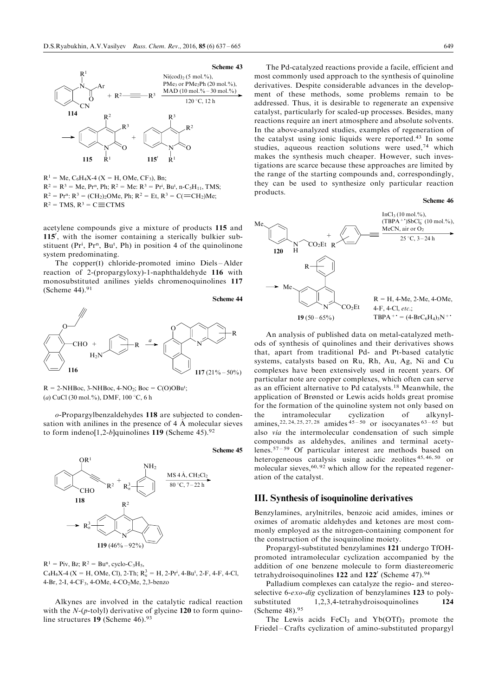<span id="page-12-0"></span>

 $R<sup>1</sup> = Me$ , C<sub>6</sub>H<sub>4</sub>X-4 (X = H, OMe, CF<sub>3</sub>), Bn;  $R^2 = R^3 = Me$ , Pr<sup>n</sup>, Ph;  $R^2 = Me$ :  $R^3 = Pr^i$ , Bu<sup>t</sup>, n-C<sub>5</sub>H<sub>11</sub>, TMS;  $R^2 = Pr^n$ :  $R^3 = (CH_2)_2$ OMe, Ph;  $R^2 = Et$ ,  $R^3 = C(=CH_2)Me$ ;  $R^2$  = TMS,  $R^3$  = C $\equiv$ CTMS

acetylene compounds give a mixture of products 115 and 115', with the isomer containing a sterically bulkier substituent ( $Pr<sup>i</sup>$ ,  $Pr<sup>n</sup>$ ,  $But$ ,  $Ph$ ) in position 4 of the quinolinone system predominating.

The copper $(I)$  chloride-promoted imino Diels-Alder reaction of 2-(propargyloxy)-1-naphthaldehyde 116 with monosubstituted anilines yields chromenoquinolines 117 (Scheme  $44$ ).<sup>91</sup>



 $R = 2-NHBoc$ ,  $3-NHBoc$ ,  $4-NO<sub>2</sub>$ ;  $Boc = C(O)OBu<sup>t</sup>$ ; (a) CuCl (30 mol.%), DMF, 100 °C, 6 h

o-Propargylbenzaldehydes 118 are subjected to condensation with anilines in the presence of  $4 \text{ Å}$  molecular sieves to form indeno[1,2-b]quinolines 119 (Scheme 45).<sup>92</sup>



 $R<sup>1</sup>$  = Piv, Bz;  $R<sup>2</sup>$  = Bu<sup>n</sup>, cyclo-C<sub>3</sub>H<sub>5</sub>,  $C_4H_6X-4$  (X = H, OMe, Cl), 2-Th;  $R_n^3 = H$ , 2-Pr<sup>i</sup>, 4-Bu<sup>t</sup>, 2-F, 4-F, 4-Cl, 4-Br, 2-I, 4-CF3, 4-OMe, 4-CO2Me, 2,3-benzo

Alkynes are involved in the catalytic radical reaction with the  $N-(p$ -tolyl) derivative of glycine 120 to form quinoline structures 19 (Scheme 46).<sup>93</sup>

The Pd-catalyzed reactions provide a facile, efficient and most commonly used approach to the synthesis of quinoline derivatives. Despite considerable advances in the development of these methods, some problems remain to be addressed. Thus, it is desirable to regenerate an expensive catalyst, particularly for scaled-up processes. Besides, many reactions require an inert atmosphere and absolute solvents. In the above-analyzed studies, examples of regeneration of the catalyst using ionic liquids were reported.<sup>43</sup> In some studies, aqueous reaction solutions were used,<sup>74</sup> which makes the synthesis much cheaper. However, such investigations are scarce because these approaches are limited by the range of the starting compounds and, correspondingly, they can be used to synthesize only particular reaction products.

Scheme 46



An analysis of published data on metal-catalyzed methods of synthesis of quinolines and their derivatives shows that, apart from traditional Pd- and Pt-based catalytic systems, catalysts based on Ru, Rh, Au, Ag, Ni and Cu complexes have been extensively used in recent years. Of particular note are copper complexes, which often can serve as an efficient alternative to Pd catalysts.<sup>18</sup> Meanwhile, the application of Brønsted or Lewis acids holds great promise for the formation of the quinoline system not only based on the intramolecular cyclization of alkynylamines,  $22, 24, 25, 27, 28$  amides  $45 - 50$  or isocyanates  $63 - 65$  but also via the intermolecular condensation of such simple compounds as aldehydes, anilines and terminal acetylenes.<sup>57-59</sup> Of particular interest are methods based on heterogeneous catalysis using acidic zeolites  $45,46,50$  or molecular sieves,  $60, 92$  which allow for the repeated regeneration of the catalyst.

# III. Synthesis of isoquinoline derivatives

Benzylamines, arylnitriles, benzoic acid amides, imines or oximes of aromatic aldehydes and ketones are most commonly employed as the nitrogen-containing component for the construction of the isoquinoline moiety.

Propargyl-substituted benzylamines 121 undergo TfOHpromoted intramolecular cyclization accompanied by the addition of one benzene molecule to form diastereomeric tetrahydroisoquinolines  $122$  and  $122'$  (Scheme 47).<sup>94</sup>

Palladium complexes can catalyze the regio- and stereoselective 6-exo-dig cyclization of benzylamines 123 to polysubstituted 1,2,3,4-tetrahydroisoquinolines 124 (Scheme 48).<sup>95</sup>

The Lewis acids FeCl<sub>3</sub> and Yb(OTf)<sub>3</sub> promote the Friedel-Crafts cyclization of amino-substituted propargyl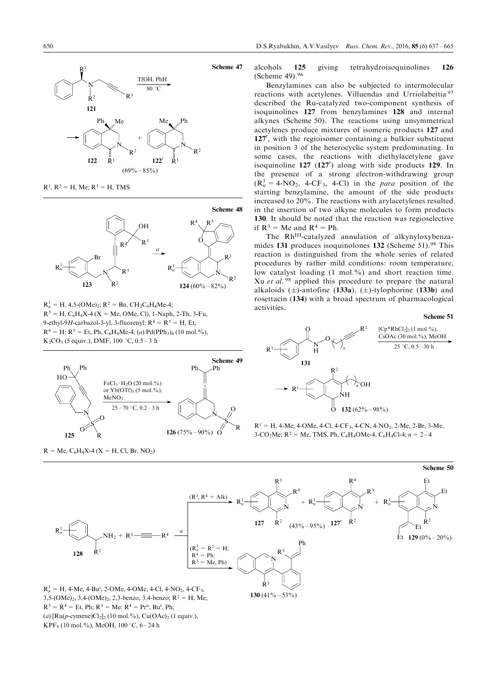

 $R<sup>1</sup>$ ,  $R<sup>2</sup> = H$ , Me;  $R<sup>3</sup> = H$ , TMS



 $R_n^1 = H$ , 4,5-(OMe)<sub>2</sub>;  $R^2 = Bn$ , CH<sub>2</sub>C<sub>6</sub>H<sub>4</sub>Me-4;  $R<sup>3</sup> = H$ , C<sub>6</sub>H<sub>4</sub>X-4 (X = Me, OMe, Cl), 1-Naph, 2-Th, 3-Fu, 9-ethyl-9H-carbazol-3-yl, 3-fluorenyl;  $R^4 = R^5 = H$ , Et;  $R^4 = H: R^5 = Et$ , Ph, C<sub>6</sub>H<sub>4</sub>Me-4; (a) Pd(PPh<sub>3</sub>)<sub>4</sub> (10 mol.%),  $K_2CO_3$  (5 equiv.), DMF, 100 °C, 0.5 – 3 h



 $R = Me$ ,  $C_6H_4X-4$  ( $X = H$ , Cl, Br, NO<sub>2</sub>)

alcohols 125 giving tetrahydroisoquinolines 126 (Scheme 49).<sup>96</sup>

Benzylamines can also be subjected to intermolecular reactions with acetylenes. Villuendas and Urriolabeitia <sup>97</sup> described the Ru-catalyzed two-component synthesis of isoquinolines 127 from benzylamines 128 and internal alkynes (Scheme 50). The reactions using unsymmetrical acetylenes produce mixtures of isomeric products 127 and 127', with the regioisomer containing a bulkier substituent in position 3 of the heterocyclic system predominating. In some cases, the reactions with diethylacetylene gave isoquinoline  $127$   $(127')$  along with side products 129. In the presence of a strong electron-withdrawing group  $(R_n^1 = 4-NO_2, 4-CF_3, 4-CI)$  in the *para* position of the starting benzylamine, the amount of the side products increased to 20%. The reactions with arylacetylenes resulted in the insertion of two alkyne molecules to form products 130. It should be noted that the reaction was regioselective if  $R^3$  = Me and  $R^4$  = Ph.

The Rh<sup>III</sup>-catalyzed annulation of alkynyloxybenzamides 131 produces isoquinolones 132 (Scheme 51).<sup>98</sup> This reaction is distinguished from the whole series of related procedures by rather mild conditions: room temperature, low catalyst loading (1 mol.%) and short reaction time. Xu et al.<sup>98</sup> applied this procedure to prepare the natural alkaloids ( $\pm$ )-antofine (133a), ( $\pm$ )-tylophorine (133b) and rosettacin (134) with a broad spectrum of pharmacological activities.

#### Scheme 51



 $R<sup>1</sup> = H$ , 4-Me, 4-OMe, 4-Cl, 4-CF<sub>3</sub>, 4-CN, 4-NO<sub>2</sub>, 2-Me, 2-Br, 3-Me, 3-CO<sub>2</sub>Me; R<sup>2</sup> = Me, TMS, Ph, C<sub>6</sub>H<sub>4</sub>OMe-4, C<sub>6</sub>H<sub>4</sub>Cl-4;  $n = 2-4$ 



 $R^3 = R^4 = Et$ , Ph;  $R^3 = Me$ :  $R^4 = Pr^n$ , Bu<sup>t</sup>, Ph; (a)  $\text{[Ru}(p\text{-cymene})\text{Cl}_2\text{]}_2$  (10 mol.%), Cu(OAc)<sub>2</sub> (1 equiv.),

KPF<sub>6</sub> (10 mol.%), MeOH, 100 °C, 6 - 24 h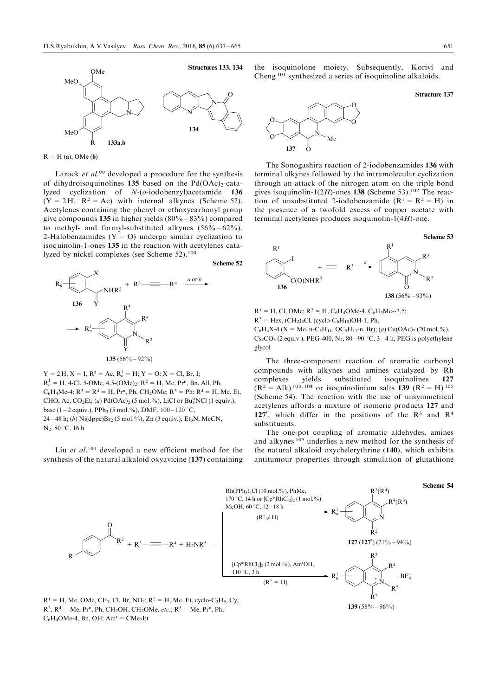

 $R = H(a)$ , OMe (b)

Larock *et al.*<sup>99</sup> developed a procedure for the synthesis of dihydroisoquinolines 135 based on the  $Pd(OAc)_{2}$ -catalyzed cyclization of N-(o-iodobenzyl)acetamide 136  $(Y = 2H, R^2 = Ac)$  with internal alkynes (Scheme 52). Acetylenes containing the phenyl or ethoxycarbonyl group give compounds 135 in higher yields  $(80\% - 83\%)$  compared to methyl- and formyl-substituted alkynes  $(56\% - 62\%)$ . 2-Halobenzamides ( $Y = O$ ) undergo similar cyclization to isoquinolin-1-ones 135 in the reaction with acetylenes catalyzed by nickel complexes (see Scheme 52).<sup>100</sup>



 $Y = 2H, X = I, R^2 = Ac, R_n^1 = H; Y = O: X = Cl, Br, I;$  $R_n^1 = H$ , 4-Cl, 5-OMe, 4,5-(OMe)<sub>2</sub>;  $R^2 = H$ , Me, Pr<sup>n</sup>, Bn, All, Ph,  $C_6H_4Me-4$ ;  $R^3 = R^4 = H$ ,  $Pr^n$ ,  $Ph$ ,  $CH_2OMe$ ;  $R^3 = Ph$ :  $R^4 = H$ , Me, Et, CHO, Ac,  $CO_2Et$ ; (a) Pd(OAc)<sub>2</sub> (5 mol.%), LiCl or Bu<sub>4</sub>NCl (1 equiv.), base (1 – 2 equiv.), PPh<sub>3</sub> (5 mol.%), DMF,  $100 - 120$  °C, 24 – 48 h; (b) Ni(dppe) $Br_2$  (5 mol.%), Zn (3 equiv.), Et<sub>3</sub>N, MeCN,  $N_2$ , 80 °C, 16 h

Liu et al.<sup>100</sup> developed a new efficient method for the synthesis of the natural alkaloid oxyavicine (137) containing the isoquinolone moiety. Subsequently, Korivi and Cheng <sup>101</sup> synthesized a series of isoquinoline alkaloids.

Structure 137



The Sonogashira reaction of 2-iodobenzamides 136 with terminal alkynes followed by the intramolecular cyclization through an attack of the nitrogen atom on the triple bond gives isoquinolin-1(2H)-ones 138 (Scheme 53).<sup>102</sup> The reaction of unsubstituted 2-iodobenzamide  $(R^1 = R^2 = H)$  in the presence of a twofold excess of copper acetate with terminal acetylenes produces isoquinolin- $1(4H)$ -one.



 $R<sup>1</sup> = H$ , Cl, OMe;  $R<sup>2</sup> = H$ , C<sub>6</sub>H<sub>4</sub>OMe-4, C<sub>6</sub>H<sub>3</sub>Me<sub>2</sub>-3,5;  $R^3 =$  Hex,  $(CH_2)_3Cl$ , (cyclo-C<sub>6</sub>H<sub>10</sub>)OH-1, Ph,  $C_6H_4X-4$  (X = Me, n-C<sub>5</sub>H<sub>11</sub>, OC<sub>5</sub>H<sub>11</sub>-n, Br); (a) Cu(OAc)<sub>2</sub> (20 mol.%),  $Cs_2CO_3$  (2 equiv.), PEG-400, N<sub>2</sub>, 80 – 90 °C, 3 – 4 h; PEG is polyethylene glycol

The three-component reaction of aromatic carbonyl compounds with alkynes and amines catalyzed by Rh<br>complexes yields substituted isoquinolines 127 complexes yields substituted isoquinolines 127  $(R^2 = Alk)^{103,104}$  or isoquinolinium salts 139  $(R^2 = H)^{105}$ (Scheme 54). The reaction with the use of unsymmetrical acetylenes affords a mixture of isomeric products 127 and 127', which differ in the positions of the  $R<sup>3</sup>$  and  $R<sup>4</sup>$ substituents.

The one-pot coupling of aromatic aldehydes, amines and alkynes <sup>105</sup> underlies a new method for the synthesis of the natural alkaloid oxychelerythrine (140), which exhibits antitumour properties through stimulation of glutathione



 $C_6H_4$ OMe-4, Bn, OH; Am<sup>t</sup> = CMe<sub>2</sub>Et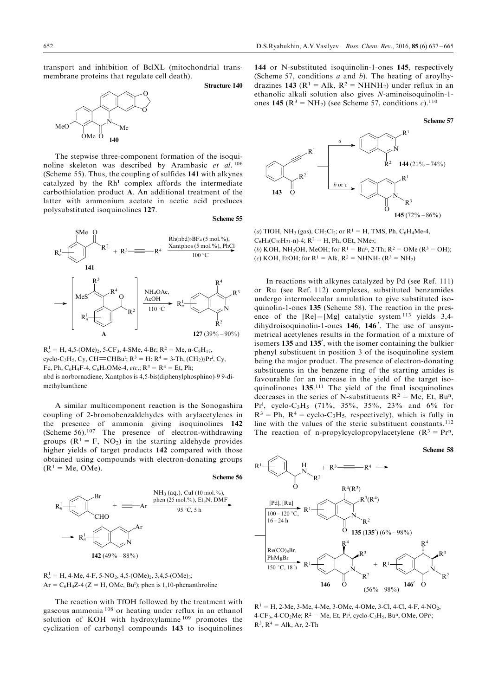transport and inhibition of BclXL (mitochondrial transmembrane proteins that regulate cell death).

Structure 140



The stepwise three-component formation of the isoquinoline skeleton was described by Arambasic et al. <sup>106</sup> (Scheme 55). Thus, the coupling of sulfides 141 with alkynes catalyzed by the Rh<sup>I</sup> complex affords the intermediate carbothiolation product A. An additional treatment of the latter with ammonium acetate in acetic acid produces polysubstituted isoquinolines 127.

#### Scheme 55



 $R_n^1 = H$ , 4,5-(OMe)<sub>2</sub>, 5-CF<sub>3</sub>, 4-SMe, 4-Br; R<sup>2</sup> = Me, n-C<sub>8</sub>H<sub>17</sub>, cyclo-C<sub>3</sub>H<sub>5</sub>, Cy, CH=CHBu<sup>t</sup>; R<sup>3</sup> = H: R<sup>4</sup> = 3-Th, (CH<sub>2</sub>)<sub>3</sub>Pr<sup>i</sup>, Cy, Fc, Ph,  $C_6H_4F-4$ ,  $C_6H_4OMe-4$ ,  $etc.; R^3 = R^4 = Et, Ph;$ nbd is norbornadiene, Xantphos is 4,5-bis(diphenylphosphino)-9 9-dimethylxanthene

A similar multicomponent reaction is the Sonogashira coupling of 2-bromobenzaldehydes with arylacetylenes in the presence of ammonia giving isoquinolines 142 (Scheme 56).<sup>107</sup> The presence of electron-withdrawing groups  $(R^1 = F, NO_2)$  in the starting aldehyde provides higher yields of target products 142 compared with those obtained using compounds with electron-donating groups  $(R<sup>1</sup> = Me, OMe)$ .

#### Scheme 56



 $R_n^1 = H$ , 4-Me, 4-F, 5-NO<sub>2</sub>, 4,5-(OMe)<sub>2</sub>, 3,4,5-(OMe)<sub>3</sub>;  $Ar = C_6H_4Z - 4 (Z = H, OMe, Bu^t)$ ; phen is 1,10-phenanthroline

The reaction with TfOH followed by the treatment with gaseous ammonia <sup>108</sup> or heating under reflux in an ethanol solution of KOH with hydroxylamine <sup>109</sup> promotes the cyclization of carbonyl compounds 143 to isoquinolines 144 or N-substituted isoquinolin-1-ones 145, respectively (Scheme 57, conditions  $a$  and  $b$ ). The heating of aroylhydrazines 143 ( $R^1$  = Alk,  $R^2$  = NHNH<sub>2</sub>) under reflux in an ethanolic alkali solution also gives N-aminoisoquinolin-1 ones 145 ( $R^3$  = NH<sub>2</sub>) (see Scheme 57, conditions *c*).<sup>110</sup>

#### Scheme 57



(a) TfOH, NH<sub>3</sub> (gas), CH<sub>2</sub>Cl<sub>2</sub>; or  $R^1 = H$ , TMS, Ph, C<sub>6</sub>H<sub>4</sub>Me-4,  $C_6H_4(C_{10}H_{21} - n) - 4$ ;  $R^2 = H$ , Ph, OEt, NMe<sub>2</sub>; (b) KOH, NH<sub>2</sub>OH, MeOH; for  $R^1 = Bu^n$ , 2-Th;  $R^2 = OMe (R^3 = OH)$ ; (c) KOH, EtOH; for  $R^1 = Alk$ ,  $R^2 = NHNH_2 (R^3 = NH_2)$ 

In reactions with alkynes catalyzed by Pd (see Ref. 111) or Ru (see Ref. 112) complexes, substituted benzamides undergo intermolecular annulation to give substituted isoquinolin-1-ones 135 (Scheme 58). The reaction in the presence of the  $[Re] - [Mg]$  catalytic system <sup>113</sup> yields 3,4dihydroisoquinolin-1-ones  $146$ ,  $146'$ . The use of unsymmetrical acetylenes results in the formation of a mixture of isomers 135 and 135', with the isomer containing the bulkier phenyl substituent in position 3 of the isoquinoline system being the major product. The presence of electron-donating substituents in the benzene ring of the starting amides is favourable for an increase in the yield of the target isoquinolinones 135.<sup>111</sup> The yield of the final isoquinolines decreases in the series of N-substituents  $R^2 = Me$ , Et, Bu<sup>n</sup>, Pr<sup>i</sup>, cyclo-C<sub>3</sub>H<sub>5</sub> (71%, 35%, 35%, 23% and 6% for  $R<sup>3</sup> = Ph$ ,  $R<sup>4</sup> = cyclo-C<sub>3</sub>H<sub>5</sub>$ , respectively), which is fully in line with the values of the steric substituent constants.<sup>112</sup> The reaction of n-propylcyclopropylacetylene  $(R^3 = Pr^n,$ 

#### Scheme 58



 $R<sup>1</sup> = H$ , 2-Me, 3-Me, 4-Me, 3-OMe, 4-OMe, 3-Cl, 4-Cl, 4-F, 4-NO<sub>2</sub>,  $4$ -CF<sub>3</sub>,  $4$ -CO<sub>2</sub>Me; R<sup>2</sup> = Me, Et, Pr<sup>i</sup>, cyclo-C<sub>3</sub>H<sub>5</sub>, Bu<sup>n</sup>, OMe, OPr<sup>i</sup>;  $R^3$ ,  $R^4 = Alk$ , Ar, 2-Th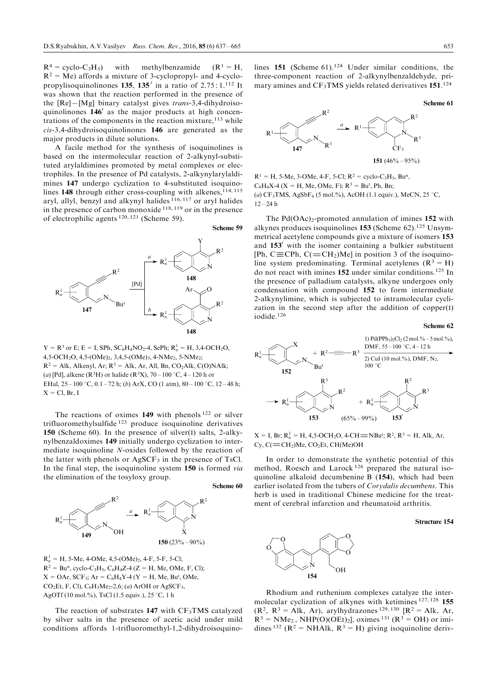$R^4$  = cyclo-C<sub>3</sub>H<sub>5</sub>) with methylbenzamide ( $R^1$  = H,  $R<sup>2</sup> = Me$ ) affords a mixture of 3-cyclopropyl- and 4-cyclopropylisoquinolinones 135, 135 $'$  in a ratio of 2.75 : 1.<sup>112</sup> It was shown that the reaction performed in the presence of the  $[Re]-[Mg]$  binary catalyst gives trans-3,4-dihydroisoquinolinones  $146'$  as the major products at high concentrations of the components in the reaction mixture, $113$  while cis-3,4-dihydroisoquinolinones 146 are generated as the major products in dilute solutions.

A facile method for the synthesis of isoquinolines is based on the intermolecular reaction of 2-alkynyl-substituted arylaldimines promoted by metal complexes or electrophiles. In the presence of Pd catalysts, 2-alkynylarylaldimines 147 undergo cyclization to 4-substituted isoquinolines  $148$  through either cross-coupling with alkenes,  $114, 115$ aryl, allyl, benzyl and alkynyl halides 116, 117 or aryl halides in the presence of carbon monoxide 118, 119 or in the presence of electrophilic agents 120, 121 (Scheme 59).



 $Y = R^3$  or E; E = I, SPh, SC<sub>6</sub>H<sub>4</sub>NO<sub>2</sub>-4, SePh;  $R_n^1 = H$ , 3,4-OCH<sub>2</sub>O, 4,5-OCH2O, 4,5-(OMe)2, 3,4,5-(OMe)3, 4-NMe2, 5-NMe2;  $R^2 = Alk$ , Alkenyl, Ar;  $R^3 = Alk$ , Ar, All, Bn, CO<sub>2</sub>Alk, C(O)NAlk; (a) [Pd], alkene ( $R^3H$ ) or halide ( $R^3X$ ), 70 – 100 °C, 4 – 120 h or EHal,  $25 - 100$  °C,  $0.1 - 72$  h; (b) ArX, CO (1 atm),  $80 - 100$  °C,  $12 - 48$  h;  $X = Cl, Br, I$ 

The reactions of oximes 149 with phenols <sup>122</sup> or silver trifluoromethylsulfide <sup>123</sup> produce isoquinoline derivatives 150 (Scheme 60). In the presence of silver(I) salts, 2-alkynylbenzaldoximes 149 initially undergo cyclization to intermediate isoquinoline N-oxides followed by the reaction of the latter with phenols or  $AgSCF_3$  in the presence of TsCl. In the final step, the isoquinoline system 150 is formed *via* the elimination of the tosyloxy group.

Scheme 60



 $R_n^1 = H$ , 5-Me, 4-OMe, 4,5-(OMe)<sub>2</sub>, 4-F, 5-F, 5-Cl;  $R^2 = Bu^n$ , cyclo-C<sub>3</sub>H<sub>5</sub>, C<sub>6</sub>H<sub>4</sub>Z-4 (Z = H, Me, OMe, F, Cl);  $X = OAr$ , SCF<sub>3</sub>; Ar = C<sub>6</sub>H<sub>4</sub>Y-4 (Y = H, Me, Bu<sup>t</sup>, OMe,  $CO<sub>2</sub>Et, F, Cl$ ),  $C<sub>6</sub>H<sub>3</sub>Me<sub>2</sub>$ -2,6; (a) ArOH or AgSCF<sub>3</sub>, AgOTf (10 mol.%), TsCl (1.5 equiv.),  $25^{\circ}$ C, 1 h

The reaction of substrates  $147$  with  $CF<sub>3</sub> TMS$  catalyzed by silver salts in the presence of acetic acid under mild conditions affords 1-trifluoromethyl-1,2-dihydroisoquinolines  $151$  (Scheme 61).<sup>124</sup> Under similar conditions, the three-component reaction of 2-alkynylbenzaldehyde, primary amines and CF<sub>3</sub>TMS yields related derivatives 151.<sup>124</sup>

#### Scheme 61



 $R<sup>1</sup> = H$ , 5-Me, 3-OMe, 4-F, 5-Cl;  $R<sup>2</sup> = \text{cyclo-C<sub>3</sub>H<sub>5</sub>, Bu<sup>n</sup>,$  $C_6H_4X-4$  (X = H, Me, OMe, F);  $R^3 = B u^t$ , Ph, Bn; (a) CF<sub>3</sub>TMS, AgSbF<sub>6</sub> (5 mol.%), AcOH (1.1 equiv.), MeCN, 25 °C,  $12 - 24 h$ 

The  $Pd(OAc)<sub>2</sub>$ -promoted annulation of imines 152 with alkynes produces isoquinolines  $153$  (Scheme  $62$ ).<sup>125</sup> Unsymmetrical acetylene compounds give a mixture of isomers 153 and  $153'$  with the isomer containing a bulkier substituent [Ph, C $\equiv$ CPh, C $(=\text{CH}_2)$ Me] in position 3 of the isoquinoline system predominating. Terminal acetylenes  $(R^3 = H)$ do not react with imines 152 under similar conditions.<sup>125</sup> In the presence of palladium catalysts, alkyne undergoes only condensation with compound 152 to form intermediate 2-alkynylimine, which is subjected to intramolecular cyclization in the second step after the addition of copper(I) iodide.<sup>126</sup>

Scheme 62



 $X = I$ , Br; R<sup>1</sup><sub>n</sub> = H, 4,5-OCH<sub>2</sub>O, 4-CH = NBu<sup>t</sup>; R<sup>2</sup>, R<sup>3</sup> = H, Alk, Ar,  $Cy, C(=CH<sub>2</sub>)Me, CO<sub>2</sub>Et, CH(Me)OH$ 

In order to demonstrate the synthetic potential of this method, Roesch and Larock <sup>126</sup> prepared the natural isoquinoline alkaloid decumbenine B (154), which had been earlier isolated from the tubers of Corydalis decumbens. This herb is used in traditional Chinese medicine for the treatment of cerebral infarction and rheumatoid arthritis.

# Structure 154



Rhodium and ruthenium complexes catalyze the intermolecular cyclization of alkynes with ketimines 127, 128 155  $(R^2, R^3 = Alk, Ar)$ , arylhydrazones <sup>129, 130</sup>  $[R^2 = Alk, Ar,$  $R^3 = NMe_2$ ,  $NHP(O)(OEt)_2$ , oximes <sup>131</sup> ( $R^3 = OH$ ) or imidines <sup>132</sup> ( $\mathbb{R}^2$  = NHAlk,  $\mathbb{R}^3$  = H) giving isoquinoline deriv-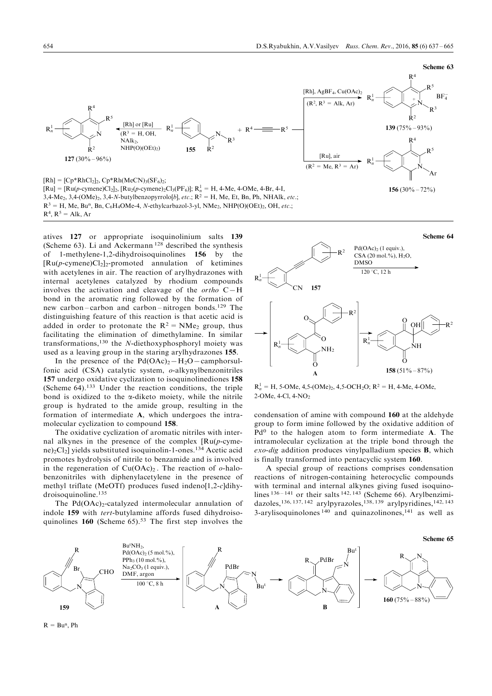

 $R<sup>4</sup>$ 



3,4-Me<sub>2</sub>, 3,4-(OMe)<sub>2</sub>, 3,4-N-butylbenzopyrrolo[b], etc.;  $R^2 = H$ , Me, Et, Bn, Ph, NHAlk, etc.;  $R^3 = H$ , Me, Bu<sup>n</sup>, Bn, C<sub>6</sub>H<sub>4</sub>OMe-4, *N*-ethylcarbazol-3-yl, NMe<sub>2</sub>, NHP(O)(OEt)<sub>2</sub>, OH, etc.;  $R^4$ ,  $R^5$  = Alk, Ar

atives 127 or appropriate isoquinolinium salts 139 (Scheme 63). Li and Ackermann <sup>128</sup> described the synthesis of 1-methylene-1,2-dihydroisoquinolines 156 by the  $[Ru(p\text{-cymene})Cl<sub>2</sub>]$ <sub>2</sub>-promoted annulation of ketimines with acetylenes in air. The reaction of arylhydrazones with internal acetylenes catalyzed by rhodium compounds involves the activation and cleavage of the *ortho*  $C-H$ bond in the aromatic ring followed by the formation of new carbon-carbon and carbon-nitrogen bonds.<sup>129</sup> The distinguishing feature of this reaction is that acetic acid is added in order to protonate the  $R^2 = NMe_2$  group, thus facilitating the elimination of dimethylamine. In similar transformations,<sup>130</sup> the N-diethoxyphosphoryl moiety was used as a leaving group in the staring arylhydrazones 155.

In the presence of the  $Pd(OAc)<sub>2</sub>-H<sub>2</sub>O-camphorsul$ fonic acid (CSA) catalytic system, o-alkynylbenzonitriles 157 undergo oxidative cyclization to isoquinolinediones 158 (Scheme  $64$ ).<sup>133</sup> Under the reaction conditions, the triple bond is oxidized to the  $\alpha$ -diketo moiety, while the nitrile group is hydrated to the amide group, resulting in the formation of intermediate A, which undergoes the intramolecular cyclization to compound 158.

The oxidative cyclization of aromatic nitriles with internal alkynes in the presence of the complex  $\lceil \text{Ru}(p\text{-}\text{cyme-}) \rceil$ ne)<sub>2</sub>Cl<sub>2</sub>] yields substituted isoquinolin-1-ones.<sup>134</sup> Acetic acid promotes hydrolysis of nitrile to benzamide and is involved in the regeneration of  $Cu(OAc)_2$ . The reaction of  $o$ -halobenzonitriles with diphenylacetylene in the presence of methyl triflate (MeOTf) produces fused indeno[1,2-c]dihydroisoquinoline.<sup>135</sup>

The Pd(OAc)<sub>2</sub>-catalyzed intermolecular annulation of indole 159 with tert-butylamine affords fused dihydroisoquinolines  $160$  (Scheme 65).<sup>53</sup> The first step involves the



 $R_n^1 = H$ , 5-OMe, 4,5-(OMe)<sub>2</sub>, 4,5-OCH<sub>2</sub>O; R<sup>2</sup> = H, 4-Me, 4-OMe, 2-OMe, 4-Cl, 4-NO<sub>2</sub>

condensation of amine with compound 160 at the aldehyde group to form imine followed by the oxidative addition of  $Pd<sup>0</sup>$  to the halogen atom to form intermediate A. The intramolecular cyclization at the triple bond through the  $exo$ -dig addition produces vinylpalladium species **B**, which is finally transformed into pentacyclic system 160.

A special group of reactions comprises condensation reactions of nitrogen-containing heterocyclic compounds with terminal and internal alkynes giving fused isoquinolines  $136 - 141$  or their salts  $142, 143$  (Scheme 66). Arylbenzimidazoles,<sup>136, 137, 142</sup> arylpyrazoles,<sup>138, 139</sup> arylpyridines,<sup>142, 143</sup> 3-arylisoquinolones  $140$  and quinazolinones,  $141$  as well as

#### Scheme 65



 $R = Bu^n$ , Ph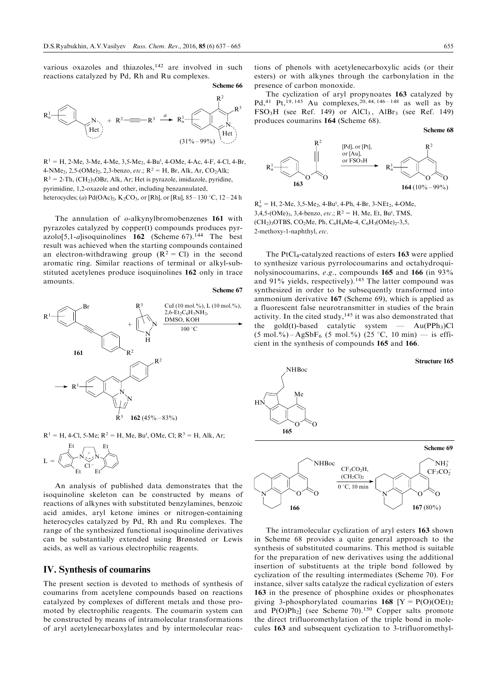<span id="page-18-0"></span>various oxazoles and thiazoles,<sup>142</sup> are involved in such reactions catalyzed by Pd, Rh and Ru complexes.



 $R<sup>1</sup> = H$ , 2-Me, 3-Me, 4-Me, 3,5-Me<sub>2</sub>, 4-Bu<sup>t</sup>, 4-OMe, 4-Ac, 4-F, 4-Cl, 4-Br, 4-NMe<sub>2</sub>, 2,5-(OMe)<sub>2</sub>, 2,3-benzo, *etc.*;  $R^2 = H$ , Br, Alk, Ar, CO<sub>2</sub>Alk;  $R<sup>3</sup> = 2-Th$ ,  $(CH<sub>2</sub>)<sub>3</sub>OBz$ , Alk, Ar; Het is pyrazole, imidazole, pyridine, pyrimidine, 1,2-oxazole and other, including benzannulated, heterocycles; (a) Pd(OAc)<sub>2</sub>, K<sub>2</sub>CO<sub>3</sub>, or [Rh], or [Ru], 85 – 130 °C, 12 – 24 h

The annulation of  $o$ -alkynylbromobenzenes 161 with pyrazoles catalyzed by copper(I) compounds produces pyrazolo[5,1-a]isoquinolines  $162$  (Scheme 67).<sup>144</sup> The best result was achieved when the starting compounds contained an electron-withdrawing group  $(R^2 = Cl)$  in the second aromatic ring. Similar reactions of terminal or alkyl-substituted acetylenes produce isoquinolines 162 only in trace amounts.

#### Scheme 67

Scheme 66



 $R<sup>1</sup> = H$ , 4-Cl, 5-Me;  $R<sup>2</sup> = H$ , Me, Bu<sup>t</sup>, OMe, Cl;  $R<sup>3</sup> = H$ , Alk, Ar;

$$
L = \underbrace{\int_{\text{E}t}^{Et} \underbrace{\int_{\text{V} \text{Y} \text{Y}}^{+} \text{E} \text{I}}_{\text{E}t}}_{Et} \text{E}
$$

An analysis of published data demonstrates that the isoquinoline skeleton can be constructed by means of reactions of alkynes with substituted benzylamines, benzoic acid amides, aryl ketone imines or nitrogen-containing heterocycles catalyzed by Pd, Rh and Ru complexes. The range of the synthesized functional isoquinoline derivatives can be substantially extended using Brønsted or Lewis acids, as well as various electrophilic reagents.

### IV. Synthesis of coumarins

The present section is devoted to methods of synthesis of coumarins from acetylene compounds based on reactions catalyzed by complexes of different metals and those promoted by electrophilic reagents. The coumarin system can be constructed by means of intramolecular transformations of aryl acetylenecarboxylates and by intermolecular reactions of phenols with acetylenecarboxylic acids (or their esters) or with alkynes through the carbonylation in the presence of carbon monoxide.

The cyclization of aryl propynoates 163 catalyzed by Pd,<sup>41</sup> Pt,<sup>19, 145</sup> Au complexes,<sup>20, 44, 146-148</sup> as well as by  $FSO<sub>3</sub>H$  (see Ref. 149) or AlCl<sub>3</sub>, AlBr<sub>3</sub> (see Ref. 149) produces coumarins 164 (Scheme 68).





 $R_n^1 = H$ , 2-Me, 3,5-Me<sub>2</sub>, 4-Bu<sup>t</sup>, 4-Ph, 4-Br, 3-NEt<sub>2</sub>, 4-OMe, 3,4,5-(OMe)<sub>3</sub>, 3,4-benzo, *etc.*;  $R^2 = H$ , Me, Et, Bu<sup>t</sup>, TMS,  $(CH<sub>2</sub>)<sub>3</sub>OTBS, CO<sub>2</sub>Me, Ph, C<sub>6</sub>H<sub>4</sub>Me-4, C<sub>6</sub>H<sub>3</sub>(OMe)<sub>2</sub>-3,5,$ 2-methoxy-1-naphthyl, etc.

The PtCl4-catalyzed reactions of esters 163 were applied to synthesize various pyrrolocoumarins and octahydroquinolysinocoumarins, e.g., compounds 165 and 166 (in 93% and 91% yields, respectively).<sup>145</sup> The latter compound was synthesized in order to be subsequently transformed into ammonium derivative 167 (Scheme 69), which is applied as a fluorescent false neurotransmitter in studies of the brain activity. In the cited study, $145$  it was also demonstrated that the gold(I)-based catalytic system  $-\text{Au}(\text{PPh}_3)$ Cl  $(5 \text{ mol.}\%)-AgSbF_6$  (5 mol.%) (25 °C, 10 min) — is efficient in the synthesis of compounds 165 and 166.



The intramolecular cyclization of aryl esters 163 shown in Scheme 68 provides a quite general approach to the synthesis of substituted coumarins. This method is suitable for the preparation of new derivatives using the additional insertion of substituents at the triple bond followed by cyclization of the resulting intermediates (Scheme 70). For instance, silver salts catalyze the radical cyclization of esters 163 in the presence of phosphine oxides or phosphonates giving 3-phosphorylated coumarins  $168$  [Y = P(O)(OEt)<sub>2</sub> and  $P(O)Ph_2$ ] (see Scheme 70).<sup>150</sup> Copper salts promote the direct trifluoromethylation of the triple bond in molecules 163 and subsequent cyclization to 3-trifluoromethyl-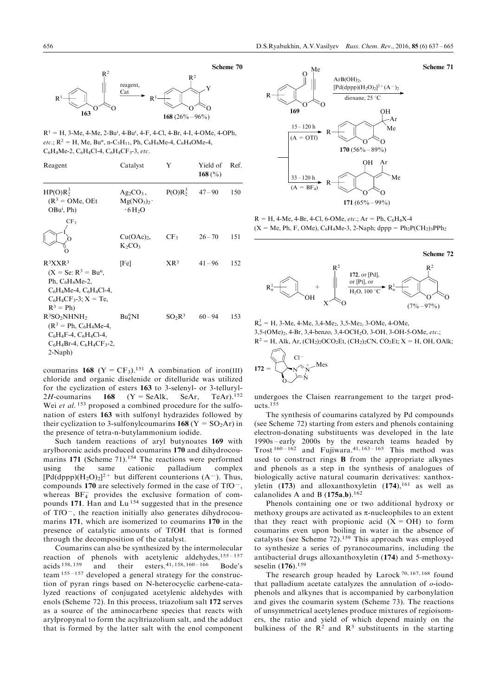

 $R<sup>1</sup> = H$ , 3-Me, 4-Me, 2-Bu<sup>t</sup>, 4-Bu<sup>t</sup>, 4-F, 4-Cl, 4-Br, 4-I, 4-OMe, 4-OPh, etc.;  $R^2 = H$ , Me, Bu<sup>n</sup>, n-C<sub>5</sub>H<sub>11</sub>, Ph, C<sub>6</sub>H<sub>4</sub>Me-4, C<sub>6</sub>H<sub>4</sub>OMe-4,  $C_6H_4Me-2$ ,  $C_6H_4Cl-4$ ,  $C_6H_4CF_3-3$ , etc.

| Reagent                                                                                                                                            | Catalyst                                                   | Y               | Yield of<br>168 $(\% )$ | Ref. |
|----------------------------------------------------------------------------------------------------------------------------------------------------|------------------------------------------------------------|-----------------|-------------------------|------|
| $HP(O)R_2^3$<br>$(R3 = OMe, OEt)$<br>$OBu^i$ , $Ph$ )<br>CF <sub>3</sub>                                                                           | $Ag_2CO_3$ ,<br>$Mg(NO3)2$ .<br>$\cdot$ 6 H <sub>2</sub> O | $P(O)R_2^3$     | $47 - 90$               | 150  |
|                                                                                                                                                    | Cu(OAc) <sub>2</sub><br>$K_2CO_3$                          | CF <sub>3</sub> | $26 - 70$               | 151  |
| $R^3$ $X$ $X$ $R^3$<br>$(X = Se: R^3 = Bu^n)$<br>Ph, $C_6H_4Me-2$ ,<br>$C_6H_4Me-4$ , $C_6H_4Cl-4$ ,<br>$C_6H_4CF_3-3$ ; $X = Te$ ,<br>$R^3 = Ph$  | [Fe]                                                       | $XR^3$          | $41 - 96$               | 152  |
| $R^3$ SO <sub>2</sub> NHNH <sub>2</sub><br>$(R^3 = Ph, C_6H_4Me-4,$<br>$C_6H_4F-4$ , $C_6H_4Cl-4$ ,<br>$C_6H_4Br-4$ , $C_6H_4CF_3-2$ ,<br>$2-Naph$ | $Bu_4^nNI$                                                 | $SO_2R^3$       | $60 - 94$               | 153  |

coumarins 168 (Y = CF<sub>3</sub>).<sup>151</sup> A combination of iron(III) chloride and organic diselenide or ditelluride was utilized for the cyclization of esters 163 to 3-selenyl- or 3-telluryl-2H-coumarins 168 (Y = SeAlk, SeAr, TeAr).<sup>152</sup> Wei et al.<sup>153</sup> proposed a combined procedure for the sulfonation of esters 163 with sulfonyl hydrazides followed by their cyclization to 3-sulfonylcoumarins  $168 (Y = SO<sub>2</sub>Ar)$  in the presence of tetra-n-butylammonium iodide.

Such tandem reactions of aryl butynoates 169 with arylboronic acids produced coumarins 170 and dihydrocoumarins 171 (Scheme 71).<sup>154</sup> The reactions were performed using the same cationic palladium complex  $[Pd(dppp)(H_2O)_2]^2$ <sup>+</sup> but different counterions (A<sup>-</sup>). Thus, compounds 170 are selectively formed in the case of  $TfO^-$ , whereas  $BF_4^-$  provides the exclusive formation of compounds 171. Han and Lu <sup>154</sup> suggested that in the presence of  $TfO^-$ , the reaction initially also generates dihydrocoumarins 171, which are isomerized to coumarins 170 in the presence of catalytic amounts of TfOH that is formed through the decomposition of the catalyst.

Coumarins can also be synthesized by the intermolecular reaction of phenols with acetylenic aldehydes, $155 - 157$ acids  $158, 159$  and their esters.  $41, 158, 160 - 166$  Bode's team  $155 - 157$  developed a general strategy for the construction of pyran rings based on N-heterocyclic carbene-catalyzed reactions of conjugated acetylenic aldehydes with enols (Scheme 72). In this process, triazolium salt 172 serves as a source of the aminocarbene species that reacts with arylpropynal to form the acyltriazolium salt, and the adduct that is formed by the latter salt with the enol component



 $R = H$ , 4-Me, 4-Br, 4-Cl, 6-OMe, etc.; Ar = Ph, C<sub>6</sub>H<sub>4</sub>X-4  $(X = Me, Ph, F, OMe)$ , C<sub>6</sub>H<sub>4</sub>Me-3, 2-Naph; dppp = Ph<sub>2</sub>P(CH<sub>2</sub>)<sub>3</sub>PPh<sub>2</sub>



Scheme 71



 $R_n^1 = H$ , 3-Me, 4-Me, 3,4-Me<sub>2</sub>, 3,5-Me<sub>2</sub>, 3-OMe, 4-OMe, 3,5-(OMe)<sub>2</sub>, 4-Br, 3,4-benzo, 3,4-OCH<sub>2</sub>O, 3-OH, 3-OH-5-OMe, etc.;  $R^2 = H$ , Alk, Ar,  $(CH_2)_2OCO_2Et$ ,  $(CH_2)_2CN$ ,  $CO_2Et$ ;  $X = H$ , OH, OAlk;  $\rightarrow$ 

$$
172 = \begin{matrix} 1 & 1 \\ 1 & 1 \end{matrix}
$$

undergoes the Claisen rearrangement to the target products.<sup>155</sup>

The synthesis of coumarins catalyzed by Pd compounds (see Scheme 72) starting from esters and phenols containing electron-donating substituents was developed in the late 1990s-early 2000s by the research teams headed by Trost  $160 - 162$  and Fujiwara.<sup>41, 163-165</sup> This method was used to construct rings B from the appropriate alkynes and phenols as a step in the synthesis of analogues of biologically active natural coumarin derivatives: xanthoxyletin  $(173)$  and alloxanthoxyletin  $(174)$ , <sup>161</sup> as well as calanolides A and B  $(175a,b)$ .<sup>162</sup>

Phenols containing one or two additional hydroxy or methoxy groups are activated as  $\pi$ -nucleophiles to an extent that they react with propionic acid  $(X = OH)$  to form coumarins even upon boiling in water in the absence of catalysts (see Scheme 72).<sup>159</sup> This approach was employed to synthesize a series of pyranocoumarins, including the antibacterial drugs alloxanthoxyletin (174) and 5-methoxyseselin (176).<sup>159</sup>

The research group headed by Larock 70, 167, 168 found that palladium acetate catalyzes the annulation of  $o$ -iodophenols and alkynes that is accompanied by carbonylation and gives the coumarin system (Scheme 73). The reactions of unsymmetrical acetylenes produce mixtures of regioisomers, the ratio and yield of which depend mainly on the bulkiness of the  $\mathbb{R}^2$  and  $\mathbb{R}^3$  substituents in the starting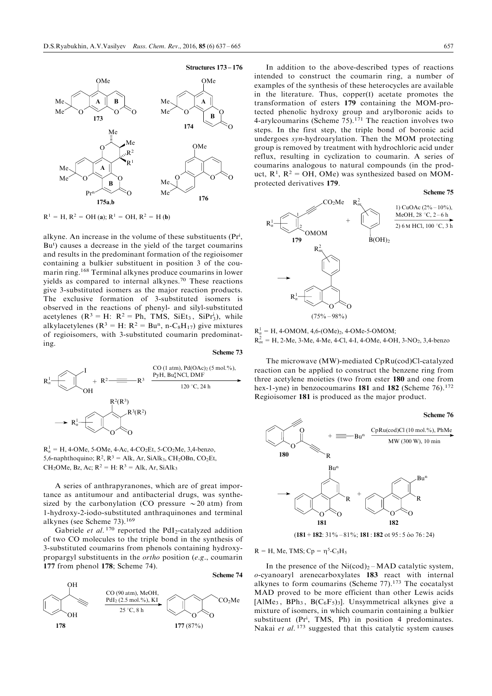

 $R<sup>1</sup> = H, R<sup>2</sup> = OH (a); R<sup>1</sup> = OH, R<sup>2</sup> = H (b)$ 

alkyne. An increase in the volume of these substituents (Pri, Bu<sup>t</sup> ) causes a decrease in the yield of the target coumarins and results in the predominant formation of the regioisomer containing a bulkier substituent in position 3 of the coumarin ring.<sup>168</sup> Terminal alkynes produce coumarins in lower yields as compared to internal alkynes.<sup>70</sup> These reactions give 3-substituted isomers as the major reaction products. The exclusive formation of 3-substituted isomers is observed in the reactions of phenyl- and silyl-substituted acetylenes  $(R^3 = H: R^2 = Ph, TMS, SiEt_3, SiPr_3^i)$ , while alkylacetylenes ( $\mathbb{R}^3 = H: \mathbb{R}^2 = Bu^n$ , n-C<sub>8</sub>H<sub>17</sub>) give mixtures of regioisomers, with 3-substituted coumarin predominating.

#### Scheme 73



 $R_n^1 = H$ , 4-OMe, 5-OMe, 4-Ac, 4-CO<sub>2</sub>Et, 5-CO<sub>2</sub>Me, 3,4-benzo, 5,6-naphthoquino;  $R^2$ ,  $R^3$  = Alk, Ar, SiAlk<sub>3</sub>, CH<sub>2</sub>OBn, CO<sub>2</sub>Et, CH<sub>2</sub>OMe, Bz, Ac; R<sup>2</sup> = H: R<sup>3</sup> = Alk, Ar, SiAlk<sub>3</sub>

A series of anthrapyranones, which are of great importance as antitumour and antibacterial drugs, was synthesized by the carbonylation (CO pressure  $\sim$  20 atm) from 1-hydroxy-2-iodo-substituted anthraquinones and terminal alkynes (see Scheme 73).<sup>169</sup>

Gabriele et al.<sup>170</sup> reported the PdI<sub>2</sub>-catalyzed addition of two CO molecules to the triple bond in the synthesis of 3-substituted coumarins from phenols containing hydroxypropargyl substituents in the ortho position (e.g., coumarin 177 from phenol 178; Scheme 74).



In addition to the above-described types of reactions intended to construct the coumarin ring, a number of examples of the synthesis of these heterocycles are available in the literature. Thus, copper(I) acetate promotes the transformation of esters 179 containing the MOM-protected phenolic hydroxy group and arylboronic acids to 4-arylcoumarins (Scheme  $75$ ).<sup>171</sup> The reaction involves two steps. In the first step, the triple bond of boronic acid undergoes syn-hydroarylation. Then the MOM protecting group is removed by treatment with hydrochloric acid under reflux, resulting in cyclization to coumarin. A series of coumarins analogous to natural compounds (in the product,  $R^1$ ,  $R^2 = OH$ , OMe) was synthesized based on MOMprotected derivatives 179.





 $R_n^1 = H$ , 4-OMOM, 4,6-(OMe)<sub>2</sub>, 4-OMe-5-OMOM;  $R_m^2 = H$ , 2-Me, 3-Me, 4-Me, 4-Cl, 4-I, 4-OMe, 4-OH, 3-NO<sub>2</sub>, 3,4-benzo

The microwave (MW)-mediated CpRu(cod)Cl-catalyzed reaction can be applied to construct the benzene ring from three acetylene moieties (two from ester 180 and one from hex-1-yne) in benzocoumarins  $181$  and  $182$  (Scheme  $76$ ).<sup>172</sup> Regioisomer 181 is produced as the major product.



 $(181 + 182: 31\% - 81\%; 181: 182 \text{ of } 95: 5 \text{ óo } 76: 24)$ 

 $R = H$ , Me, TMS;  $Cp = \eta^5 - C_5H_5$ 

In the presence of the  $Ni(cod)_{2} - MAD$  catalytic system, o-cyanoaryl arenecarboxylates 183 react with internal alkynes to form coumarins (Scheme 77).<sup>173</sup> The cocatalyst MAD proved to be more efficient than other Lewis acids [AlMe<sub>3</sub>, BPh<sub>3</sub>, B( $C_6F_5$ )<sub>3</sub>]. Unsymmetrical alkynes give a mixture of isomers, in which coumarin containing a bulkier substituent (Pr<sup>i</sup>, TMS, Ph) in position 4 predominates. Nakai et  $al$ .<sup>173</sup> suggested that this catalytic system causes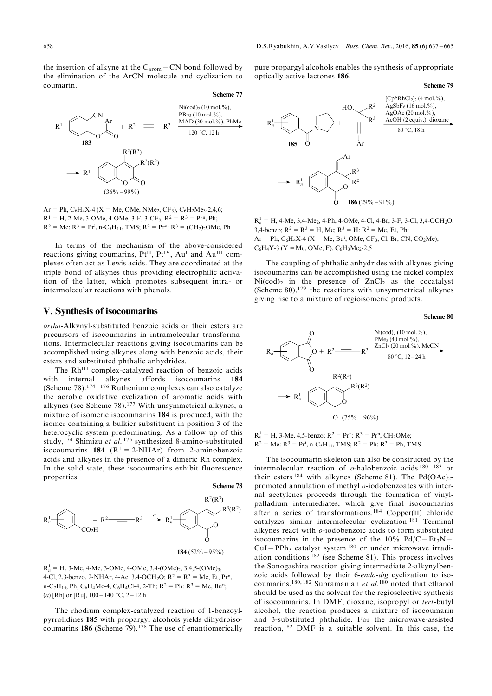<span id="page-21-0"></span>the insertion of alkyne at the  $C_{\text{arom}}-CN$  bond followed by the elimination of the ArCN molecule and cyclization to coumarin.



 $Ar = Ph, C_6H_4X-4 (X= Me, OMe, NMe_2, CF_3), C_6H_2Me_3-2,4,6;$  $R<sup>1</sup> = H$ , 2-Me, 3-OMe, 4-OMe, 3-F, 3-CF<sub>3</sub>;  $R<sup>2</sup> = R<sup>3</sup> = Pr<sup>n</sup>$ , Ph;  $R^2 = Me$ :  $R^3 = Pr^i$ , n-C<sub>5</sub>H<sub>11</sub>, TMS;  $R^2 = Pr^n$ :  $R^3 = (CH_2)_2$ OMe, Ph

In terms of the mechanism of the above-considered reactions giving coumarins, PtII, PtIV, AuI and AuIII complexes often act as Lewis acids. They are coordinated at the triple bond of alkynes thus providing electrophilic activation of the latter, which promotes subsequent intra- or intermolecular reactions with phenols.

# V. Synthesis of isocoumarins

ortho-Alkynyl-substituted benzoic acids or their esters are precursors of isocoumarins in intramolecular transformations. Intermolecular reactions giving isocoumarins can be accomplished using alkynes along with benzoic acids, their esters and substituted phthalic anhydrides.

The Rh<sup>III</sup> complex-catalyzed reaction of benzoic acids with internal alkynes affords isocoumarins 184 (Scheme 78).<sup>174–176</sup> Ruthenium complexes can also catalyze the aerobic oxidative cyclization of aromatic acids with alkynes (see Scheme 78).<sup>177</sup> With unsymmetrical alkynes, a mixture of isomeric isocoumarins 184 is produced, with the isomer containing a bulkier substituent in position 3 of the heterocyclic system predominating. As a follow up of this study,<sup>174</sup> Shimizu et al. <sup>175</sup> synthesized 8-amino-substituted isocoumarins 184  $(R<sup>1</sup> = 2-NHAr)$  from 2-aminobenzoic acids and alkynes in the presence of a dimeric Rh complex. In the solid state, these isocoumarins exhibit fluorescence properties.

 $R_n^1$ n  $CO<sub>2</sub>H$ +  $R^2$  -  $R^3$ O O  $R^2(R^3)$  $R^3(R^2)$ 184  $(52\% - 95\%)$  $R_n^1$ n a

Scheme 78



The rhodium complex-catalyzed reaction of 1-benzoylpyrrolidines 185 with propargyl alcohols yields dihydroisocoumarins 186 (Scheme 79).<sup>178</sup> The use of enantiomerically pure propargyl alcohols enables the synthesis of appropriate optically active lactones 186.

#### Scheme 79



 $R_n^1 = H$ , 4-Me, 3,4-Me<sub>2</sub>, 4-Ph, 4-OMe, 4-Cl, 4-Br, 3-F, 3-Cl, 3,4-OCH<sub>2</sub>O, 3,4-benzo;  $R^2 = R^3 = H$ , Me;  $R^3 = H$ :  $R^2 = Me$ , Et, Ph;  $Ar = Ph, C_6H_4X - 4 (X = Me, Bu^t, OMe, CF_3, Cl, Br, CN, CO_2Me),$  $C_6H_4Y-3$  (Y = Me, OMe, F),  $C_6H_3Me_2-2,5$ 

The coupling of phthalic anhydrides with alkynes giving isocoumarins can be accomplished using the nickel complex  $Ni(cod)_2$  in the presence of  $ZnCl_2$  as the cocatalyst (Scheme 80), $179$  the reactions with unsymmetrical alkynes giving rise to a mixture of regioisomeric products.

Scheme 80



 $R_n^1 = H$ , 3-Me, 4,5-benzo;  $R^2 = Pr^n$ :  $R^3 = Pr^n$ ,  $CH_2OMe$ ;  $R^2 = Me$ :  $R^3 = Pr^i$ , n-C<sub>5</sub>H<sub>11</sub>, TMS;  $R^2 = Ph$ :  $R^3 = Ph$ , TMS

The isocoumarin skeleton can also be constructed by the intermolecular reaction of  $o$ -halobenzoic acids  $180 - 183$  or their esters <sup>184</sup> with alkynes (Scheme 81). The  $Pd(OAc)<sub>2</sub>$ promoted annulation of methyl o-iodobenzoates with internal acetylenes proceeds through the formation of vinylpalladium intermediates, which give final isocoumarins after a series of transformations.<sup>184</sup> Copper(II) chloride catalyzes similar intermolecular cyclization.<sup>181</sup> Terminal alkynes react with  $o$ -iodobenzoic acids to form substituted isocoumarins in the presence of the  $10\%$  Pd/C-Et<sub>3</sub>N- $CuI-PPh<sub>3</sub>$  catalyst system <sup>180</sup> or under microwave irradiation conditions <sup>182</sup> (see Scheme 81). This process involves the Sonogashira reaction giving intermediate 2-alkynylbenzoic acids followed by their 6-endo-dig cyclization to isocoumarins.<sup>180, 182</sup> Subramanian et al.<sup>180</sup> noted that ethanol should be used as the solvent for the regioselective synthesis of isocoumarins. In DMF, dioxane, isopropyl or tert-butyl alcohol, the reaction produces a mixture of isocoumarin and 3-substituted phthalide. For the microwave-assisted reaction,<sup>182</sup> DMF is a suitable solvent. In this case, the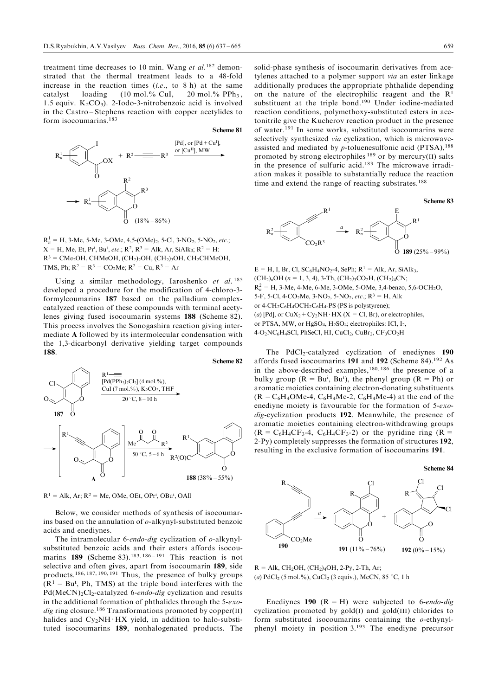treatment time decreases to 10 min. Wang et  $al$ <sup>182</sup> demonstrated that the thermal treatment leads to a 48-fold increase in the reaction times  $(i.e., to 8 h)$  at the same catalyst loading  $(10 \text{ mol.}\% \text{ CuI}, 20 \text{ mol.}\% \text{ PPh}_3)$ , 1.5 equiv. K2CO3). 2-Iodo-3-nitrobenzoic acid is involved in the Castro-Stephens reaction with copper acetylides to form isocoumarins.<sup>183</sup>

### Scheme 81



 $R_n^1 = H$ , 3-Me, 5-Me, 3-OMe, 4,5-(OMe)<sub>2</sub>, 5-Cl, 3-NO<sub>2</sub>, 5-NO<sub>2</sub>, etc.;  $X = H$ , Me, Et, Pr<sup>i</sup>, Bu<sup>t</sup>, etc.; R<sup>2</sup>, R<sup>3</sup> = Alk, Ar, SiAlk<sub>3</sub>; R<sup>2</sup> = H:  $R<sup>3</sup> = CMe<sub>2</sub>OH$ , CHMeOH, (CH<sub>2</sub>)<sub>2</sub>OH, (CH<sub>2</sub>)<sub>3</sub>OH, CH<sub>2</sub>CHMeOH, TMS, Ph;  $R^2 = R^3 = CO_2Me$ ;  $R^2 = Cu$ ,  $R^3 = Ar$ 

Using a similar methodology, Iaroshenko et al. <sup>185</sup> developed a procedure for the modification of 4-chloro-3 formylcoumarins 187 based on the palladium complexcatalyzed reaction of these compounds with terminal acetylenes giving fused isocoumarin systems 188 (Scheme 82). This process involves the Sonogashira reaction giving intermediate A followed by its intermolecular condensation with the 1,3-dicarbonyl derivative yielding target compounds 188.



 $R<sup>1</sup> = Alk, Ar; R<sup>2</sup> = Me, OMe, OEt, OPr<sup>i</sup>, OBu<sup>t</sup>, OAll$ 

Below, we consider methods of synthesis of isocoumarins based on the annulation of  $o$ -alkynyl-substituted benzoic acids and enediynes.

The intramolecular 6-endo-dig cyclization of o-alkynylsubstituted benzoic acids and their esters affords isocoumarins 189 (Scheme 83).<sup>183, 186-191</sup> This reaction is not selective and often gives, apart from isocoumarin 189, side products.186, 187, 190, 191 Thus, the presence of bulky groups  $(R<sup>1</sup> = Bu<sup>t</sup>$ , Ph, TMS) at the triple bond interferes with the  $Pd(MeCN)_2Cl_2$ -catalyzed 6-*endo-dig* cyclization and results in the additional formation of phthalides through the 5-exodig ring closure.<sup>186</sup> Transformations promoted by copper(II) halides and  $Cy<sub>2</sub>NH·HX$  yield, in addition to halo-substituted isocoumarins 189, nonhalogenated products. The solid-phase synthesis of isocoumarin derivatives from acetylenes attached to a polymer support via an ester linkage additionally produces the appropriate phthalide depending on the nature of the electrophilic reagent and the  $R<sup>1</sup>$ substituent at the triple bond.<sup>190</sup> Under iodine-mediated reaction conditions, polymethoxy-substituted esters in acetonitrile give the Kucherov reaction product in the presence of water.<sup>191</sup> In some works, substituted isocoumarins were selectively synthesized via cyclization, which is microwaveassisted and mediated by  $p$ -toluenesulfonic acid (PTSA),<sup>188</sup> promoted by strong electrophiles <sup>189</sup> or by mercury(II) salts in the presence of sulfuric acid.<sup>183</sup> The microwave irradiation makes it possible to substantially reduce the reaction time and extend the range of reacting substrates.<sup>188</sup>

Scheme 83



 $E = H$ , I, Br, Cl, SC<sub>6</sub>H<sub>4</sub>NO<sub>2</sub>-4, SePh; R<sup>1</sup> = Alk, Ar, SiAlk<sub>3</sub>,  $(CH_2)_nOH$  ( $n = 1, 3, 4$ ), 3-Th,  $(CH_2)_3CO_2H$ ,  $(CH_2)_4CN$ ;  $R_n^2 = H$ , 3-Me, 4-Me, 6-Me, 3-OMe, 5-OMe, 3,4-benzo, 5,6-OCH<sub>2</sub>O, 5-F, 5-Cl, 4-CO<sub>2</sub>Me, 3-NO<sub>2</sub>, 5-NO<sub>2</sub>, etc.;  $R^3 = H$ , Alk or  $4\text{-CH}_2\text{C}_6\text{H}_4\text{OCH}_2\text{C}_6\text{H}_4\text{-PS}$  (PS is polystyrene); (a) [Pd], or  $CuX_2 + Cy_2NH \cdot HX$  (X = Cl, Br), or electrophiles, or PTSA, MW, or HgSO<sub>4</sub>, H<sub>2</sub>SO<sub>4</sub>; electrophiles: ICl, I<sub>2</sub>,  $4$ -O<sub>2</sub>NC<sub>6</sub>H<sub>4</sub>SCl, PhSeCl, HI, CuCl<sub>2</sub>, CuBr<sub>2</sub>, CF<sub>3</sub>CO<sub>2</sub>H

The  $PdCl_2$ -catalyzed cyclization of enediynes 190 affords fused isocoumarins  $191$  and  $192$  (Scheme 84).<sup>192</sup> As in the above-described examples,180, 186 the presence of a bulky group ( $R = Bu^{i}$ ,  $Bu^{t}$ ), the phenyl group ( $R = Ph$ ) or aromatic moieties containing electron-donating substituents  $(R = C_6H_4OMe-4, C_6H_4Me-2, C_6H_4Me-4$  at the end of the enediyne moiety is favourable for the formation of 5-exodig-cyclization products 192. Meanwhile, the presence of aromatic moieties containing electron-withdrawing groups  $(R = C_6H_4CF_3-4, C_6H_4CF_3-2)$  or the pyridine ring  $(R = 1)$ 2-Py) completely suppresses the formation of structures 192, resulting in the exclusive formation of isocoumarins 191.

Scheme 84



 $R = Alk$ , CH<sub>2</sub>OH, (CH<sub>2</sub>)<sub>4</sub>OH, 2-Py, 2-Th, Ar; (a) PdCl<sub>2</sub> (5 mol.%), CuCl<sub>2</sub> (3 equiv.), MeCN, 85 °C, 1 h

Enediynes 190  $(R = H)$  were subjected to 6-endo-dig cyclization promoted by gold(I) and gold(III) chlorides to form substituted isocoumarins containing the  $o$ -ethynylphenyl moiety in position 3.<sup>193</sup> The enediyne precursor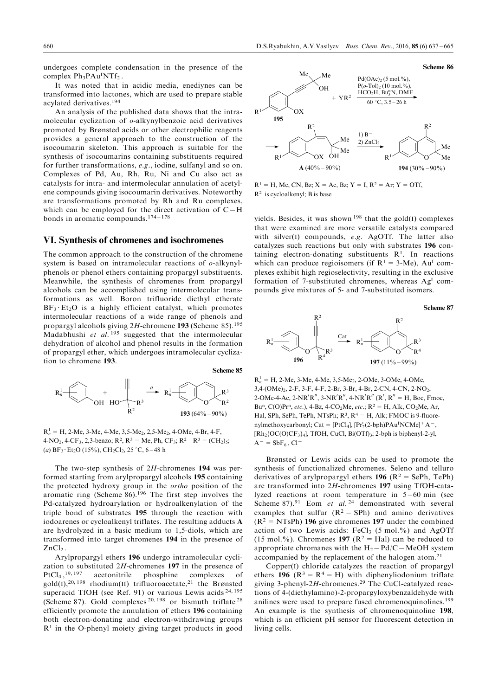<span id="page-23-0"></span>undergoes complete condensation in the presence of the complex Ph<sub>3</sub>PAu<sup>I</sup>NTf<sub>2</sub>.

It was noted that in acidic media, enediynes can be transformed into lactones, which are used to prepare stable acylated derivatives.<sup>194</sup>

An analysis of the published data shows that the intramolecular cyclization of o-alkynylbenzoic acid derivatives promoted by Brønsted acids or other electrophilic reagents provides a general approach to the construction of the isocoumarin skeleton. This approach is suitable for the synthesis of isocoumarins containing substituents required for further transformations, e.g., iodine, sulfanyl and so on. Complexes of Pd, Au, Rh, Ru, Ni and Cu also act as catalysts for intra- and intermolecular annulation of acetylene compounds giving isocoumarin derivatives. Noteworthy are transformations promoted by Rh and Ru complexes, which can be employed for the direct activation of  $C-H$ bonds in aromatic compounds. $174 - 178$ 

# VI. Synthesis of chromenes and isochromenes

The common approach to the construction of the chromene system is based on intramolecular reactions of o-alkynylphenols or phenol ethers containing propargyl substituents. Meanwhile, the synthesis of chromenes from propargyl alcohols can be accomplished using intermolecular transformations as well. Boron trifluoride diethyl etherate  $BF_3 \cdot Et_2O$  is a highly efficient catalyst, which promotes intermolecular reactions of a wide range of phenols and propargyl alcohols giving 2H-chromene 193 (Scheme 85).<sup>195</sup> Madabhushi et  $al$ .<sup>195</sup> suggested that the intermolecular dehydration of alcohol and phenol results in the formation of propargyl ether, which undergoes intramolecular cyclization to chromene 193.





 $R_n^1 = H$ , 2-Me, 3-Me, 4-Me, 3,5-Me<sub>2</sub>, 2,5-Me<sub>2</sub>, 4-OMe, 4-Br, 4-F, 4-NO<sub>2</sub>, 4-CF<sub>3</sub>, 2,3-benzo; R<sup>2</sup>, R<sup>3</sup> = Me, Ph, CF<sub>3</sub>; R<sup>2</sup> – R<sup>3</sup> = (CH<sub>2</sub>)<sub>5</sub>; (a)  $BF_3$  · Et<sub>2</sub>O (15%), CH<sub>2</sub>Cl<sub>2</sub>, 25 °C, 6 – 48 h

The two-step synthesis of 2H-chromenes 194 was performed starting from arylpropargyl alcohols 195 containing the protected hydroxy group in the ortho position of the aromatic ring (Scheme  $86$ ).<sup>196</sup> The first step involves the Pd-catalyzed hydroarylation or hydroalkenylation of the triple bond of substrates 195 through the reaction with iodoarenes or cycloalkenyl triflates. The resulting adducts A are hydrolyzed in a basic medium to 1,5-diols, which are transformed into target chromenes 194 in the presence of  $ZnCl<sub>2</sub>$ .

Arylpropargyl ethers 196 undergo intramolecular cyclization to substituted  $2H$ -chromenes 197 in the presence of PtCl<sub>4</sub>,<sup>19,197</sup> acetonitrile phosphine complexes of  $\text{gold}(I)$ ,<sup>20, 198</sup> rhodium(II) trifluoroacetate,<sup>21</sup> the Brønsted superacid TfOH (see Ref. 91) or various Lewis acids  $24,195$ (Scheme 87). Gold complexes  $20,198$  or bismuth triflate  $28$ efficiently promote the annulation of ethers 196 containing both electron-donating and electron-withdrawing groups  $R<sup>1</sup>$  in the O-phenyl moiety giving target products in good



 $R<sup>1</sup> = H$ , Me, CN, Bz; X = Ac, Bz; Y = I,  $R<sup>2</sup> = Ar$ ; Y = OTf,  $R<sup>2</sup>$  is cycloalkenyl; B is base

yields. Besides, it was shown  $198$  that the gold(I) complexes that were examined are more versatile catalysts compared with silver(I) compounds,  $e.g.$  AgOTf. The latter also catalyzes such reactions but only with substrates 196 containing electron-donating substituents  $R<sup>1</sup>$ . In reactions which can produce regioisomers (if  $R^1 = 3$ -Me), Au<sup>I</sup> complexes exhibit high regioselectivity, resulting in the exclusive formation of 7-substituted chromenes, whereas AgI compounds give mixtures of 5- and 7-substituted isomers.





 $R_n^1 = H$ , 2-Me, 3-Me, 4-Me, 3,5-Me<sub>2</sub>, 2-OMe, 3-OMe, 4-OMe, 3,4-(OMe)2, 2-F, 3-F, 4-F, 2-Br, 3-Br, 4-Br, 2-CN, 4-CN, 2-NO2, 2-OMe-4-Ac, 2-NR'R", 3-NR'R", 4-NR'R" (R', R" = H, Boc, Fmoc, Bu<sup>n</sup>, C(O)Pr<sup>n</sup>, etc.), 4-Bz, 4-CO<sub>2</sub>Me, etc.; R<sup>2</sup> = H, Alk, CO<sub>2</sub>Me, Ar, Hal, SPh, SePh, TePh, NTsPh;  $R^3$ ,  $R^4 = H$ , Alk; FMOC is 9-fluorenylmethoxycarbonyl; Cat = [PtCl<sub>4</sub>], [Pr<sup>i</sup><sub>2</sub>(2-bph)PAu<sup>I</sup>NCMe]<sup>+</sup>A<sup>-</sup>,  $[Rh_2{OC(O)CF_3}]$ <sub>4</sub>], TfOH, CuCl, Bi(OTf)<sub>3</sub>; 2-bph is biphenyl-2-yl,  $A^- = SbF_6^-$ , Cl<sup>-1</sup>

Brønsted or Lewis acids can be used to promote the synthesis of functionalized chromenes. Seleno and telluro derivatives of arylpropargyl ethers 196 ( $R^2$  = SePh, TePh) are transformed into 2H-chromenes 197 using TfOH-catalyzed reactions at room temperature in  $5 - 60$  min (see Scheme  $87.91$  Eom *et al.* <sup>24</sup> demonstrated with several examples that sulfur  $(R^2 = SPh)$  and amino derivatives  $(R^2 = NTsPh)$  196 give chromenes 197 under the combined action of two Lewis acids: FeCl<sub>3</sub>  $(5 \text{ mol.})\%$  and AgOTf (15 mol.%). Chromenes 197 ( $R^2$  = Hal) can be reduced to appropriate chromanes with the  $H_2-Pd/C-MeOH$  system accompanied by the replacement of the halogen atom.<sup>21</sup>

Copper(I) chloride catalyzes the reaction of propargyl ethers 196 ( $R^3 = R^4 = H$ ) with diphenyliodonium triflate giving 3-phenyl-2H-chromenes.<sup>29</sup> The CuCl-catalyzed reactions of 4-(diethylamino)-2-propargyloxybenzaldehyde with anilines were used to prepare fused chromenoquinolines.<sup>199</sup> An example is the synthesis of chromenoquinoline 198, which is an efficient pH sensor for fluorescent detection in living cells.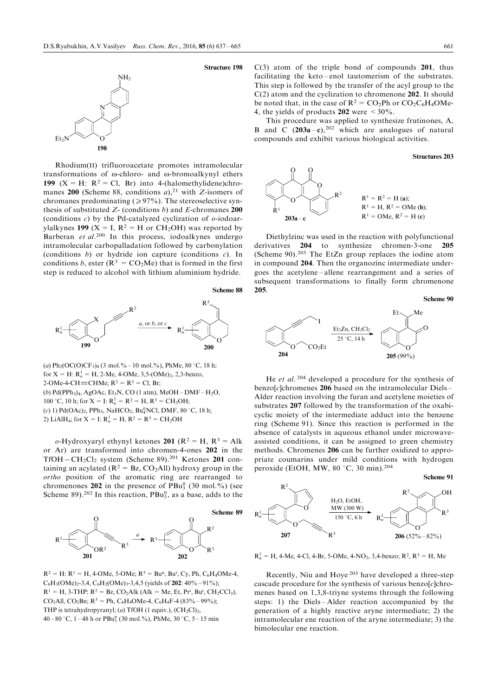

O

198

Et<sub>2</sub>N

Rhodium(II) trifluoroacetate promotes intramolecular transformations of o-chloro- and o-bromoalkynyl ethers 199 (X = H:  $R^2$  = Cl, Br) into 4-(halomethylidene)chromanes 200 (Scheme 88, conditions  $a$ ),<sup>21</sup> with Z-isomers of chromanes predominating  $(\geq 97\%)$ . The stereoselective synthesis of substituted  $Z$ - (conditions b) and E-chromanes 200 (conditions  $c$ ) by the Pd-catalyzed cyclization of  $o$ -iodoarylalkynes 199 (X = I,  $R^2 = H$  or CH<sub>2</sub>OH) was reported by Barberan et al.<sup>200</sup> In this process, iodoalkynes undergo intramolecular carbopalladation followed by carbonylation (conditions  $b$ ) or hydride ion capture (conditions  $c$ ). In conditions b, ester ( $\mathbb{R}^3$  = CO<sub>2</sub>Me) that is formed in the first step is reduced to alcohol with lithium aluminium hydride.

### Scheme 88

Structure 198



(a) Ph<sub>2</sub>(OC(O)CF<sub>3</sub>)<sub>4</sub> (3 mol.% – 10 mol.%), PhMe, 80 °C, 18 h; for  $X = H: R_n^1 = H$ , 2-Me, 4-OMe, 3,5-(OMe)<sub>2</sub>, 2,3-benzo, 2-OMe-4-CH=CHMe;  $R^2 = R^3 = Cl$ , Br; (b) Pd(PPh<sub>3</sub>)<sub>4</sub>, AgOAc, Et<sub>3</sub>N, CO (1 atm), MeOH - DMF - H<sub>2</sub>O, 100 °C, 10 h; for  $X = I: R_n^1 = R^2 = H, R^3 = CH_2OH;$ (c) 1) Pd(OAc)<sub>2</sub>, PPh<sub>3</sub>, NaHCO<sub>2</sub>, Bu<sub>4</sub><sup>n</sup>NCl, DMF, 80 °C, 18 h; 2) LiAlH<sub>4</sub>; for X = I:  $R_n^1 = H$ ,  $R^2 = R^3 = CH_2OH$ 

 $o$ -Hydroxyaryl ethynyl ketones 201 (R<sup>2</sup> = H, R<sup>3</sup> = Alk or Ar) are transformed into chromen-4-ones 202 in the TfOH $-CH_2Cl_2$  system (Scheme 89).<sup>201</sup> Ketones 201 containing an acylated ( $R^2 = Bz$ , CO<sub>2</sub>All) hydroxy group in the ortho position of the aromatic ring are rearranged to chromenones 202 in the presence of  $PBu_3^n$  (30 mol.%) (see Scheme 89).<sup>202</sup> In this reaction,  $PBu_3^n$ , as a base, adds to the



 $R^2 = H$ :  $R^1 = H$ , 4-OMe, 5-OMe;  $R^3 = Bu^n$ ,  $Bu^t$ ,  $Cy$ ,  $Ph$ ,  $C_6H_4OMe$ -4,  $C_6H_3(OMe)_2-3,4$ ,  $C_6H_2(OMe)_3-3,4,5$  (yields of 202: 40% – 91%);  $R<sup>1</sup> = H$ , 3-THP;  $R<sup>2</sup> = Bz$ , CO<sub>2</sub>Alk (Alk = Me, Et, Pr<sup>i</sup>, Bu<sup>t</sup>, CH<sub>2</sub>CCl<sub>3</sub>), CO<sub>2</sub>All, CO<sub>2</sub>Bn; R<sup>3</sup> = Ph, C<sub>6</sub>H<sub>4</sub>OMe-4, C<sub>6</sub>H<sub>4</sub>F-4 (83% – 99%); THP is tetrahydropyranyl; (a) TfOH (1 equiv.),  $(CH_2Cl)_2$ ,  $40 - 80$  °C,  $1 - 48$  h or PBu<sub>3</sub><sup>n</sup> (30 mol.%), PhMe, 30 °C,  $5 - 15$  min

 $C(3)$  atom of the triple bond of compounds 201, thus facilitating the  $keto$  - enol tautomerism of the substrates. This step is followed by the transfer of the acyl group to the C(2) atom and the cyclization to chromenone 202. It should be noted that, in the case of  $R^2 = CO_2Ph$  or  $CO_2C_6H_4OMe$ -4, the yields of products  $202$  were  $\leq 30\%$ .

This procedure was applied to synthesize frutinones, A, B and C  $(203a-c)$ ,<sup>202</sup> which are analogues of natural compounds and exhibit various biological activities.

Structures 203



Diethylzinc was used in the reaction with polyfunctional derivatives 204 to synthesize chromen-3-one 205 (Scheme 90).<sup>203</sup> The EtZn group replaces the iodine atom in compound 204. Then the organozinc intermediate undergoes the acetylene-allene rearrangement and a series of subsequent transformations to finally form chromenone 205.

Scheme 90



He et al.<sup>204</sup> developed a procedure for the synthesis of benzo $[c]$ chromenes 206 based on the intramolecular Diels -Alder reaction involving the furan and acetylene moieties of substrates 207 followed by the transformation of the oxabicyclic moiety of the intermediate adduct into the benzene ring (Scheme 91). Since this reaction is performed in the absence of catalysts in aqueous ethanol under microwaveassisted conditions, it can be assigned to green chemistry methods. Chromenes 206 can be further oxidized to appropriate coumarins under mild conditions with hydrogen peroxide (EtOH, MW,  $80^{\circ}$ C, 30 min).<sup>204</sup>



 $R_n^1 = H$ , 4-Me, 4-Cl, 4-Br, 5-OMe, 4-NO<sub>2</sub>, 3,4-benzo;  $R^2$ ,  $R^3 = H$ , Me

Recently, Niu and Hoye <sup>205</sup> have developed a three-step cascade procedure for the synthesis of various benzo $[c]$ chromenes based on 1,3,8-triyne systems through the following steps: 1) the Diels-Alder reaction accompanied by the generation of a highly reactive aryne intermediate; 2) the intramolecular ene reaction of the aryne intermediate; 3) the bimolecular ene reaction.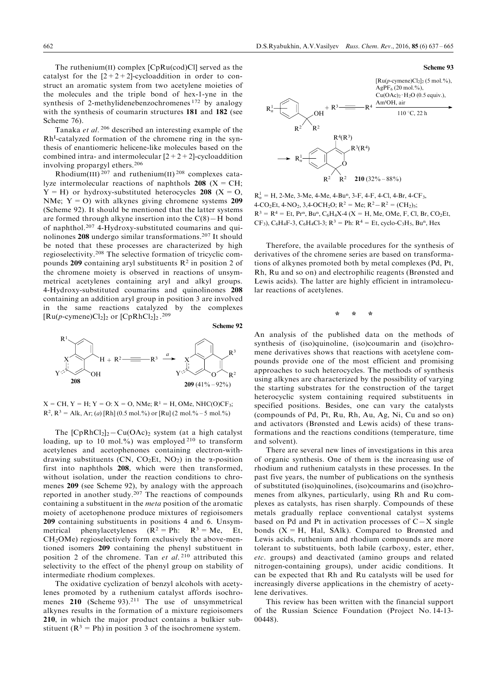The ruthenium(II) complex [CpRu(cod)Cl] served as the catalyst for the  $[2+2+2]$ -cycloaddition in order to construct an aromatic system from two acetylene moieties of the molecules and the triple bond of hex-1-yne in the synthesis of 2-methylidenebenzochromenes <sup>172</sup> by analogy with the synthesis of coumarin structures 181 and 182 (see Scheme 76).

Tanaka et al. <sup>206</sup> described an interesting example of the Rh<sup>I</sup> -catalyzed formation of the chromene ring in the synthesis of enantiomeric helicene-like molecules based on the combined intra- and intermolecular  $[2+2+2]$ -cycloaddition involving propargyl ethers.<sup>206</sup>

Rhodium(III)<sup>207</sup> and ruthenium(II)<sup>208</sup> complexes catalyze intermolecular reactions of naphthols  $208$  (X = CH;  $Y = H$ ) or hydroxy-substituted heterocycles 208 (X = O, NMe;  $Y = O$ ) with alkynes giving chromene systems 209 (Scheme 92). It should be mentioned that the latter systems are formed through alkyne insertion into the  $C(8)-H$  bond of naphthol.<sup>207</sup> 4-Hydroxy-substituted coumarins and quinolinones 208 undergo similar transformations.<sup>207</sup> It should be noted that these processes are characterized by high regioselectivity.<sup>208</sup> The selective formation of tricyclic compounds 209 containing aryl substituents  $\mathbb{R}^2$  in position 2 of the chromene moiety is observed in reactions of unsymmetrical acetylenes containing aryl and alkyl groups. 4-Hydroxy-substituted coumarins and quinolinones 208 containing an addition aryl group in position 3 are involved in the same reactions catalyzed by the complexes  $[Ru(p\text{-cymene})Cl<sub>2</sub>]$ <sub>2</sub> or  $[CpRhCl<sub>2</sub>]$ <sub>2</sub>.<sup>209</sup>



 $X = CH, Y = H; Y = O; X = O, NMe; R<sup>1</sup> = H, OMe, NHC(O)CF<sub>3</sub>;$  $R^2$ ,  $R^3 = Alk$ , Ar; (a) [Rh] (0.5 mol.%) or [Ru] (2 mol.% - 5 mol.%)

The  $[CpRhCl<sub>2</sub>]<sub>2</sub>-Cu(OAc)<sub>2</sub>$  system (at a high catalyst loading, up to 10 mol.%) was employed <sup>210</sup> to transform acetylenes and acetophenones containing electron-withdrawing substituents (CN, CO<sub>2</sub>Et, NO<sub>2</sub>) in the  $\alpha$ -position first into naphthols 208, which were then transformed, without isolation, under the reaction conditions to chromenes 209 (see Scheme 92), by analogy with the approach reported in another study.<sup>207</sup> The reactions of compounds containing a substituent in the meta position of the aromatic moiety of acetophenone produce mixtures of regioisomers 209 containing substituents in positions 4 and 6. Unsymmetrical phenylacetylenes  $(R^2 = Ph: R^3 = Me, Et,$ CH2OMe) regioselectively form exclusively the above-mentioned isomers 209 containing the phenyl substituent in position 2 of the chromene. Tan et al.<sup>210</sup> attributed this selectivity to the effect of the phenyl group on stability of intermediate rhodium complexes.

The oxidative cyclization of benzyl alcohols with acetylenes promoted by a ruthenium catalyst affords isochromenes 210 (Scheme 93).<sup>211</sup> The use of unsymmetrical alkynes results in the formation of a mixture regioisomers 210, in which the major product contains a bulkier substituent ( $R^3$  = Ph) in position 3 of the isochromene system.



 $R_n^1 = H$ , 2-Me, 3-Me, 4-Me, 4-Bu<sup>n</sup>, 3-F, 4-F, 4-Cl, 4-Br, 4-CF<sub>3</sub>, 4-CO<sub>2</sub>Et, 4-NO<sub>2</sub>, 3,4-OCH<sub>2</sub>O; R<sup>2</sup> = Me; R<sup>2</sup>-R<sup>2</sup> = (CH<sub>2</sub>)<sub>5</sub>;  $R^3 = R^4 = Et$ , Pr<sup>n</sup>, Bu<sup>n</sup>, C<sub>6</sub>H<sub>4</sub>X-4 (X = H, Me, OMe, F, Cl, Br, CO<sub>2</sub>Et,  $CF_3$ ),  $C_6H_4F-3$ ,  $C_6H_4Cl-3$ ;  $R^3 = Ph$ ;  $R^4 = Et$ , cyclo- $C_3H_5$ , Bu<sup>n</sup>, Hex

Therefore, the available procedures for the synthesis of derivatives of the chromene series are based on transformations of alkynes promoted both by metal complexes (Pd, Pt, Rh, Ru and so on) and electrophilic reagents (Brønsted and Lewis acids). The latter are highly efficient in intramolecular reactions of acetylenes.

\*\*\*

An analysis of the published data on the methods of synthesis of (iso)quinoline, (iso)coumarin and (iso)chromene derivatives shows that reactions with acetylene compounds provide one of the most efficient and promising approaches to such heterocycles. The methods of synthesis using alkynes are characterized by the possibility of varying the starting substrates for the construction of the target heterocyclic system containing required substituents in specified positions. Besides, one can vary the catalysts (compounds of Pd, Pt, Ru, Rh, Au, Ag, Ni, Cu and so on) and activators (Brønsted and Lewis acids) of these transformations and the reactions conditions (temperature, time and solvent).

There are several new lines of investigations in this area of organic synthesis. One of them is the increasing use of rhodium and ruthenium catalysts in these processes. In the past five years, the number of publications on the synthesis of substituted (iso)quinolines, (iso)coumarins and (iso)chromenes from alkynes, particularly, using Rh and Ru complexes as catalysts, has risen sharply. Compounds of these metals gradually replace conventional catalyst systems based on Pd and Pt in activation processes of  $C-X$  single bonds  $(X = H, Hal, SAlk)$ . Compared to Brønsted and Lewis acids, ruthenium and rhodium compounds are more tolerant to substituents, both labile (carboxy, ester, ether, etc. groups) and deactivated (amino groups and related nitrogen-containing groups), under acidic conditions. It can be expected that Rh and Ru catalysts will be used for increasingly diverse applications in the chemistry of acetylene derivatives.

This review has been written with the financial support of the Russian Science Foundation (Project No. 14-13- 00448).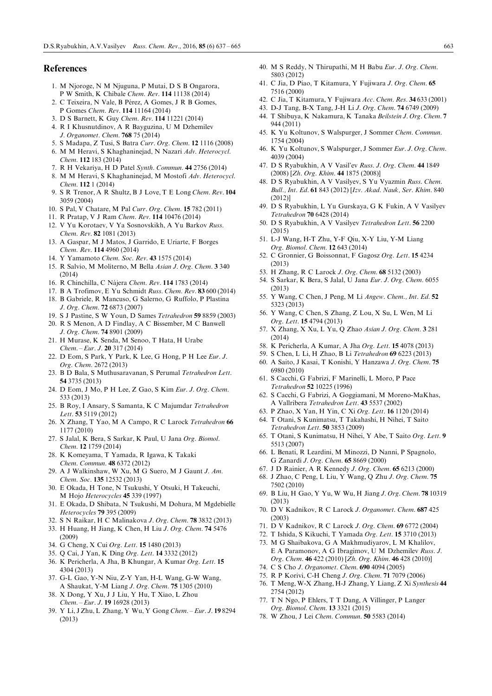# References

- 1. M Njoroge, N M Njuguna, P Mutai, D S B Ongarora, P W Smith, K Chibale Chem. Rev. 114 11138 (2014)
- 2. C Teixeira, N Vale, B Pérez, A Gomes, J R B Gomes, P Gomes Chem. Rev. 114 11164 (2014)
- 3. D S Barnett, K Guy Chem. Rev. 114 11221 (2014)
- 4. R I Khusnutdinov, A R Bayguzina, U M Dzhemilev J. Organomet. Chem. 768 75 (2014)
- 5. S Madapa, Z Tusi, S Batra Curr. Org. Chem. 12 1116 (2008)
- 6. M M Heravi, S Khaghaninejad, N Nazari Adv. Heterocycl. Chem. 112 183 (2014)
- 7. R H Vekariya, H D Patel Synth. Commun. 44 2756 (2014)
- 8. M M Heravi, S Khaghaninejad, M Mostofi Adv. Heterocycl. Chem. 112 1 (2014)
- 9. S R Trenor, A R Shultz, B J Love, T E Long Chem. Rev. 104 3059 (2004)
- 10. S Pal, V Chatare, M Pal Curr. Org. Chem. 15 782 (2011)
- 11. R Pratap, V J Ram Chem. Rev. 114 10476 (2014)
- 12. V Yu Korotaev, V Ya Sosnovskikh, A Yu Barkov Russ. Chem. Rev. 82 1081 (2013)
- 13. A Gaspar, M J Matos, J Garrido, E Uriarte, F Borges Chem. Rev. 114 4960 (2014)
- 14. Y Yamamoto Chem. Soc. Rev. 43 1575 (2014)
- 15. R Salvio, M Moliterno, M Bella Asian J. Org. Chem. 3 340 (2014)
- 16. R Chinchilla, C Nájera Chem. Rev. 114 1783 (2014)
- 17. B A Trofimov, E Yu Schmidt Russ. Chem. Rev. 83 600 (2014)
- 18. B Gabriele, R Mancuso, G Salerno, G Ruffolo, P Plastina J. Org. Chem. 72 6873 (2007)
- 19. S J Pastine, S W Youn, D Sames Tetrahedron 59 8859 (2003)
- 20. R S Menon, A D Findlay, A C Bissember, M C Banwell J. Org. Chem. 74 8901 (2009)
- 21. H Murase, K Senda, M Senoo, T Hata, H Urabe  $Chem. - Eur. J. 20 317 (2014)$
- 22. D Eom, S Park, Y Park, K Lee, G Hong, P H Lee Eur. J. Org. Chem. 2672 (2013)
- 23. B D Bala, S Muthusaravanan, S Perumal Tetrahedron Lett. 54 3735 (2013)
- 24. D Eom, J Mo, P H Lee, Z Gao, S Kim Eur. J. Org. Chem. 533 (2013)
- 25. B Roy, I Ansary, S Samanta, K C Majumdar Tetrahedron Lett. 53 5119 (2012)
- 26. X Zhang, T Yao, M A Campo, R C Larock Tetrahedron 66 1177 (2010)
- 27. S Jalal, K Bera, S Sarkar, K Paul, U Jana Org. Biomol. Chem. 12 1759 (2014)
- 28. K Komeyama, T Yamada, R Igawa, K Takaki Chem. Commun. 48 6372 (2012)
- 29. A J Walkinshaw, W Xu, M G Suero, M J Gaunt J. Am. Chem. Soc. 135 12532 (2013)
- 30. E Okada, H Tone, N Tsukushi, Y Otsuki, H Takeuchi, M Hojo Heterocycles 45 339 (1997)
- 31. E Okada, D Shibata, N Tsukushi, M Dohura, M Mgdebielle Heterocycles 79 395 (2009)
- 32. S N Raikar, H C Malinakova J. Org. Chem. 78 3832 (2013) 33. H Huang, H Jiang, K Chen, H Liu J. Org. Chem. 74 5476
- (2009)
- 34. G Cheng, X Cui Org. Lett. 15 1480 (2013)
- 35. Q Cai, J Yan, K Ding Org. Lett. 14 3332 (2012)
- 36. K Pericherla, A Jha, B Khungar, A Kumar Org. Lett. 15 4304 (2013)
- 37. G-L Gao, Y-N Niu, Z-Y Yan, H-L Wang, G-W Wang, A Shaukat, Y-M Liang J. Org. Chem. 75 1305 (2010)
- 38. X Dong, Y Xu, J J Liu, Y Hu, T Xiao, L Zhou  $Chem. - Eur. J. 19 16928 (2013)$
- 39. Y Li, J Zhu, L Zhang, Y Wu, Y Gong Chem. Eur. J. 198294 (2013)
- 40. M S Reddy, N Thirupathi, M H Babu Eur. J. Org. Chem. 5803 (2012)
- 41. C Jia, D Piao, T Kitamura, Y Fujiwara J. Org. Chem. 65 7516 (2000)
- 42. C Jia, T Kitamura, Y Fujiwara Acc. Chem. Res. 34 633 (2001)
- 43. D-J Tang, B-X Tang, J-H Li J. Org. Chem. 74 6749 (2009)
- 44. T Shibuya, K Nakamura, K Tanaka Beilstein J. Org. Chem. 7 944 (2011)
- 45. K Yu Koltunov, S Walspurger, J Sommer Chem. Commun. 1754 (2004)
- 46. K Yu Koltunov, S Walspurger, J Sommer Eur. J. Org. Chem. 4039 (2004)
- 47. D S Ryabukhin, A V Vasil'ev Russ. J. Org. Chem. 44 1849 (2008) [Zh. Org. Khim. 44 1875 (2008)]
- 48. D S Ryabukhin, A V Vasilyev, S Yu Vyazmin Russ. Chem. Bull., Int. Ed. 61 843 (2012) [Izv. Akad. Nauk, Ser. Khim. 840 (2012)]
- 49. D S Ryabukhin, L Yu Gurskaya, G K Fukin, A V Vasilyev Tetrahedron 70 6428 (2014)
- 50. D S Ryabukhin, A V Vasilyev Tetrahedron Lett. 56 2200 (2015)
- 51. L-J Wang, H-T Zhu, Y-F Qiu, X-Y Liu, Y-M Liang Org. Biomol. Chem. 12 643 (2014)
- 52. C Gronnier, G Boissonnat, F Gagosz Org. Lett. 15 4234 (2013)
- 53. H Zhang, R C Larock J. Org. Chem. 68 5132 (2003)
- 54. S Sarkar, K Bera, S Jalal, U Jana Eur. J. Org. Chem. 6055 (2013)
- 55. Y Wang, C Chen, J Peng, M Li Angew. Chem., Int. Ed. 52 5323 (2013)
- 56. Y Wang, C Chen, S Zhang, Z Lou, X Su, L Wen, M Li Org. Lett. 15 4794 (2013)
- 57. X Zhang, X Xu, L Yu, Q Zhao Asian J. Org. Chem. 3 281 (2014)
- 58. K Pericherla, A Kumar, A Jha Org. Lett. 15 4078 (2013)
- 59. S Chen, L Li, H Zhao, B Li Tetrahedron 69 6223 (2013)
- 60. A Saito, J Kasai, T Konishi, Y Hanzawa J. Org. Chem. 75 6980 (2010)
- 61. S Cacchi, G Fabrizi, F Marinelli, L Moro, P Pace Tetrahedron 52 10225 (1996)
- 62. S Cacchi, G Fabrizi, A Goggiamani, M Moreno-MaKhas, A Vallribera Tetrahedron Lett. 43 5537 (2002)
- 63. P Zhao, X Yan, H Yin, C Xi Org. Lett. 16 1120 (2014)
- 64. T Otani, S Kunimatsu, T Takahashi, H Nihei, T Saito Tetrahedron Lett. 50 3853 (2009)
- 65. T Otani, S Kunimatsu, H Nihei, Y Abe, T Saito Org. Lett. 9 5513 (2007)
- 66. L Benati, R Leardini, M Minozzi, D Nanni, P Spagnolo, G Zanardi J. Org. Chem. 65 8669 (2000)
- 67. J D Rainier, A R Kennedy J. Org. Chem. 65 6213 (2000)
- 68. J Zhao, C Peng, L Liu, Y Wang, Q Zhu J. Org. Chem. 75 7502 (2010)
- 69. B Liu, H Gao, Y Yu, W Wu, H Jiang J. Org. Chem. 78 10319 (2013)
- 70. D V Kadnikov, R C Larock J. Organomet. Chem. 687 425 (2003)
- 71. D V Kadnikov, R C Larock J. Org. Chem. 69 6772 (2004)
- 72. T Ishida, S Kikuchi, T Yamada Org. Lett. 15 3710 (2013)
- 73. M G Shaibakova, G A Makhmudiyarov, L M Khalilov, E A Paramonov, A G Ibragimov, U M Dzhemilev Russ. J. Org. Chem. 46 422 (2010) [Zh. Org. Khim. 46 428 (2010)]
- 74. C S Cho J. Organomet. Chem. 690 4094 (2005)
- 75. R P Korivi, C-H Cheng J. Org. Chem. 71 7079 (2006)
- 76. T Meng, W-X Zhang, H-J Zhang, Y Liang, Z Xi Synthesis 44 2754 (2012)
- 77. T N Ngo, P Ehlers, T T Dang, A Villinger, P Langer Org. Biomol. Chem. 13 3321 (2015)
- 78. W Zhou, J Lei Chem. Commun. 50 5583 (2014)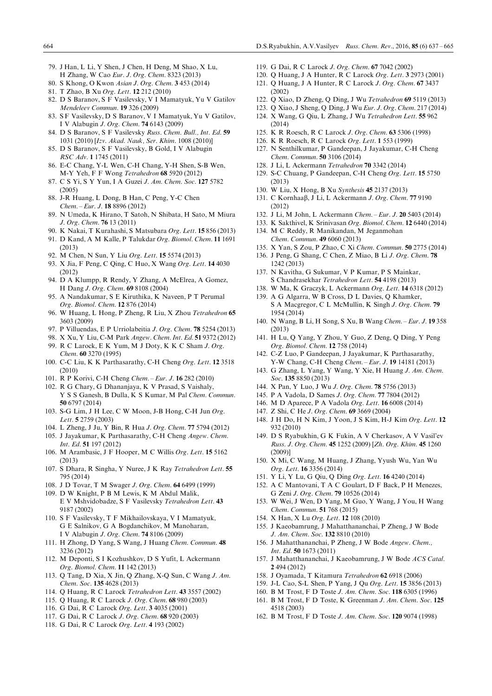- 79. J Han, L Li, Y Shen, J Chen, H Deng, M Shao, X Lu, H Zhang, W Cao Eur. J. Org. Chem. 8323 (2013)
- 80. S Khong, O Kwon Asian J. Org. Chem. 3 453 (2014)
- 81. T Zhao, B Xu Org. Lett. 12 212 (2010)
- 82. D S Baranov, S F Vasilevsky, V I Mamatyuk, Yu V Gatilov Mendeleev Commun. 19 326 (2009)
- 83. S F Vasilevsky, D S Baranov, V I Mamatyuk, Yu V Gatilov, I V Alabugin J. Org. Chem. 74 6143 (2009)
- 84. D S Baranov, S F Vasilevsky Russ. Chem. Bull., Int. Ed. 59 1031 (2010) [Izv. Akad. Nauk, Ser. Khim. 1008 (2010)]
- 85. D S Baranov, S F Vasilevsky, B Gold, I V Alabugin RSC Adv. 1 1745 (2011)
- 86. E-C Chang, Y-L Wen, C-H Chang, Y-H Shen, S-B Wen, M-Y Yeh, F F Wong Tetrahedron 68 5920 (2012)
- 87. C S Yi, S Y Yun, I A Guzei J. Am. Chem. Soc. 127 5782 (2005)
- 88. J-R Huang, L Dong, B Han, C Peng, Y-C Chen  $Chem. - Eur. J. 18 8896 (2012)$
- 89. N Umeda, K Hirano, T Satoh, N Shibata, H Sato, M Miura J. Org. Chem. 76 13 (2011)
- 90. K Nakai, T Kurahashi, S Matsubara Org. Lett. 15 856 (2013) 91. D Kand, A M Kalle, P Talukdar Org. Biomol. Chem. 11 1691
- (2013) 92. M Chen, N Sun, Y Liu Org. Lett. 15 5574 (2013)
- 93. X Jia, F Peng, C Qing, C Huo, X Wang Org. Lett. 14 4030 (2012)
- 94. D A Klumpp, R Rendy, Y Zhang, A McElrea, A Gomez, H Dang J. Org. Chem. 69 8108 (2004)
- 95. A Nandakumar, S E Kiruthika, K Naveen, P T Perumal Org. Biomol. Chem. 12 876 (2014)
- 96. W Huang, L Hong, P Zheng, R Liu, X Zhou Tetrahedron 65 3603 (2009)
- 97. P Villuendas, E P Urriolabeitia J. Org. Chem. 78 5254 (2013)
- 98. X Xu, Y Liu, C-M Park Angew. Chem. Int. Ed. 51 9372 (2012)
- 99. R C Larock, E K Yum, M J Doty, K K C Sham J. Org. Chem. 60 3270 (1995)
- 100. C-C Liu, K K Parthasarathy, C-H Cheng Org. Lett. 12 3518 (2010)
- 101. R P Korivi, C-H Cheng Chem. Eur. J. 16 282 (2010)
- 102. R G Chary, G Dhananjaya, K V Prasad, S Vaishaly, Y S S Ganesh, B Dulla, K S Kumar, M Pal Chem. Commun. 50 6797 (2014)
- 103. S-G Lim, J H Lee, C W Moon, J-B Hong, C-H Jun Org. Lett. 5 2759 (2003)
- 104. L Zheng, J Ju, Y Bin, R Hua J. Org. Chem. 77 5794 (2012)
- 105. J Jayakumar, K Parthasarathy, C-H Cheng Angew. Chem. Int. Ed. 51 197 (2012)
- 106. M Arambasic, J F Hooper, M C Willis Org. Lett. 15 5162 (2013)
- 107. S Dhara, R Singha, Y Nuree, J K Ray Tetrahedron Lett. 55 795 (2014)
- 108. J D Tovar, T M Swager J. Org. Chem. 64 6499 (1999)
- 109. D W Knight, P B M Lewis, K M Abdul Malik, E V Mshvidobadze, S F Vasilevsky Tetrahedron Lett. 43 9187 (2002)
- 110. S F Vasilevsky, T F Mikhailovskaya, V I Mamatyuk, G E Salnikov, G A Bogdanchikov, M Manoharan, I V Alabugin J. Org. Chem. 74 8106 (2009)
- 111. H Zhong, D Yang, S Wang, J Huang Chem. Commun. 48 3236 (2012)
- 112. M Deponti, S I Kozhushkov, D S Yufit, L Ackermann Org. Biomol. Chem. 11 142 (2013)
- 113. Q Tang, D Xia, X Jin, Q Zhang, X-Q Sun, C Wang J. Am. Chem. Soc. 135 4628 (2013)
- 114. Q Huang, R C Larock Tetrahedron Lett. 43 3557 (2002)
- 115. Q Huang, R C Larock J. Org. Chem. 68 980 (2003)
- 116. G Dai, R C Larock Org. Lett. 3 4035 (2001)
- 117. G Dai, R C Larock J. Org. Chem. 68 920 (2003)
- 118. G Dai, R C Larock Org. Lett. 4 193 (2002)
- 119. G Dai, R C Larock J. Org. Chem. 67 7042 (2002)
- 120. Q Huang, J A Hunter, R C Larock Org. Lett. 3 2973 (2001) 121. Q Huang, J A Hunter, R C Larock J. Org. Chem. 67 3437
- (2002)
- 122. Q Xiao, D Zheng, Q Ding, J Wu Tetrahedron 69 5119 (2013)
- 123. Q Xiao, J Sheng, Q Ding, J Wu Eur. J. Org. Chem. 217 (2014) 124. X Wang, G Qiu, L Zhang, J Wu Tetrahedron Lett. 55 962 (2014)
- 125. K R Roesch, R C Larock J. Org. Chem. 63 5306 (1998)
- 126. K R Roesch, R C Larock Org. Lett. 1 553 (1999)
- 127. N Senthilkumar, P Gandeepan, J Jayakumar, C-H Cheng Chem. Commun. 50 3106 (2014)
- 128. J Li, L Ackermann Tetrahedron 70 3342 (2014)
- 129. S-C Chuang, P Gandeepan, C-H Cheng Org. Lett. 15 5750 (2013)
- 130. W Liu, X Hong, B Xu Synthesis 45 2137 (2013)
- 131. C Kornhaaβ, J Li, L Ackermann J. Org. Chem. 77 9190 (2012)
- 132. J Li, M John, L Ackermann Chem. Eur. J. 20 5403 (2014)
- 133. K Sakthivel, K Srinivasan Org. Biomol. Chem. 12 6440 (2014)
- 134. M C Reddy, R Manikandan, M Jeganmohan Chem. Commun. 49 6060 (2013)
- 135. X Yan, S Zou, P Zhao, C Xi Chem. Commun. 50 2775 (2014)
- 136. J Peng, G Shang, C Chen, Z Miao, B Li J. Org. Chem. 78 1242 (2013)
- 137. N Kavitha, G Sukumar, V P Kumar, P S Mainkar, S Chandrasekhar Tetrahedron Lett. 54 4198 (2013)
- 138. W Ma, K Graczyk, L Ackermann Org. Lett. 14 6318 (2012)
- 139. A G Algarra, W B Cross, D L Davies, Q Khamker, S A Macgregor, C L McMullin, K Singh J. Org. Chem. 79 1954 (2014)
- 140. N Wang, B Li, H Song, S Xu, B Wang Chem. Eur. J. 19 358 (2013)
- 141. H Lu, Q Yang, Y Zhou, Y Guo, Z Deng, Q Ding, Y Peng Org. Biomol. Chem. 12 758 (2014)
- 142. C-Z Luo, P Gandeepan, J Jayakumar, K Parthasarathy, Y-W Chang, C-H Cheng Chem. - Eur. J. 19 14181 (2013)
- 143. G Zhang, L Yang, Y Wang, Y Xie, H Huang J. Am. Chem. Soc. 135 8850 (2013)
- 144. X Pan, Y Luo, J Wu J. Org. Chem. 78 5756 (2013)
- 145. P A Vadola, D Sames J. Org. Chem. 77 7804 (2012)
- 146. M D Aparece, P A Vadola Org. Lett. 16 6008 (2014)
- 147. Z Shi, C He J. Org. Chem. 69 3669 (2004)
- 148. J H Do, H N Kim, J Yoon, J S Kim, H-J Kim Org. Lett. 12 932 (2010)
- 149. D S Ryabukhin, G K Fukin, A V Cherkasov, A V Vasil'ev Russ. J. Org. Chem. 45 1252 (2009) [Zh. Org. Khim. 45 1260 (2009)]
- 150. X Mi, C Wang, M Huang, J Zhang, Yyush Wu, Yan Wu Org. Lett. 16 3356 (2014)
- 151. Y Li, Y Lu, G Qiu, Q Ding Org. Lett. 16 4240 (2014)
- 152. A C Mantovani, T A C Goulart, D F Back, P H Menezes, G Zeni J. Org. Chem. 79 10526 (2014)
- 153. W Wei, J Wen, D Yang, M Guo, Y Wang, J You, H Wang Chem. Commun. 51 768 (2015)
- 154. X Han, X Lu Org. Lett. 12 108 (2010)
- 155. J Kaeobamrung, J Mahatthananchai, P Zheng, J W Bode J. Am. Chem. Soc. 132 8810 (2010)
- 156. J Mahatthananchai, P Zheng, J W Bode Angew. Chem., Int. Ed. 50 1673 (2011)
- 157. J Mahatthananchai, J Kaeobamrung, J W Bode ACS Catal. 2 494 (2012)
- 158. J Oyamada, T Kitamura Tetrahedron 62 6918 (2006)
- 159. J-L Cao, S-L Shen, P Yang, J Qu Org. Lett. 15 3856 (2013)
- 160. B M Trost, F D Toste J. Am. Chem. Soc. 118 6305 (1996)
- 161. B M Trost, F D Toste, K Greenman J. Am. Chem. Soc. 125 4518 (2003)
- 162. B M Trost, F D Toste J. Am. Chem. Soc. 120 9074 (1998)